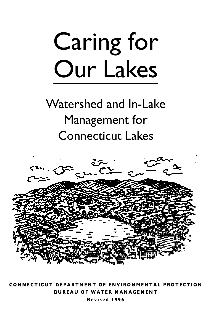# Caring for Our Lakes

### Watershed and In-Lake Management for Connecticut Lakes



**CONNECTICUT DEPARTMENT OF ENVIRONMENTAL PROTECTION BUREAU OF WATER MANAGEMENT Revised 1996**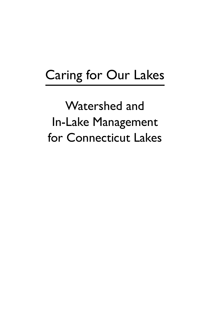## Caring for Our Lakes

Watershed and In-Lake Management for Connecticut Lakes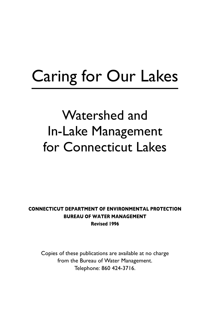# Caring for Our Lakes

# Watershed and In-Lake Management for Connecticut Lakes

#### **CONNECTICUT DEPARTMENT OF ENVIRONMENTAL PROTECTION BUREAU OF WATER MANAGEMENT Revised 1996**

Copies of these publications are available at no charge from the Bureau of Water Management. Telephone: 860 424-3716.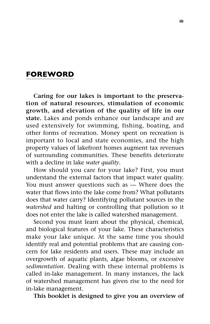#### **FOREWORD**

**Caring for our lakes is important to the preservation of natural resources, stimulation of economic growth, and elevation of the quality of life in our state.** Lakes and ponds enhance our landscape and are used extensively for swimming, fishing, boating, and other forms of recreation. Money spent on recreation is important to local and state economies, and the high property values of lakefront homes augment tax revenues of surrounding communities. These benefits deteriorate with a decline in lake *water quality*.

How should you care for your lake? First, you must understand the external factors that impact water quality. You must answer questions such as — Where does the water that flows into the lake come from? What pollutants does that water carry? Identifying pollutant sources in the *watershed* and halting or controlling that pollution so it does not enter the lake is called watershed management.

Second you must learn about the physical, chemical, and biological features of your lake. These characteristics make your lake unique. At the same time you should identify real and potential problems that are causing concern for lake residents and users. These may include an overgrowth of aquatic plants, algae blooms, or excessive *sedimentation*. Dealing with these internal problems is called in-lake management. In many instances, the lack of watershed management has given rise to the need for in-lake management.

**This booklet is designed to give you an overview of**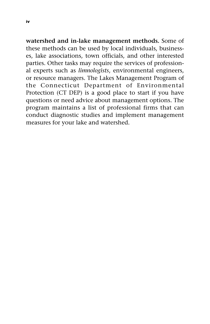**watershed and in-lake management methods.** Some of these methods can be used by local individuals, businesses, lake associations, town officials, and other interested parties. Other tasks may require the services of professional experts such as *limnologists*, environmental engineers, or resource managers. The Lakes Management Program of the Connecticut Department of Environmental Protection (CT DEP) is a good place to start if you have questions or need advice about management options. The program maintains a list of professional firms that can conduct diagnostic studies and implement management measures for your lake and watershed.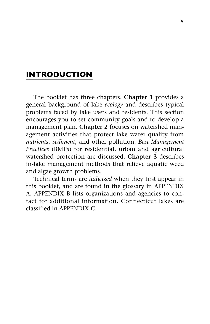#### **INTRODUCTION**

The booklet has three chapters. **Chapter 1** provides a general background of lake *ecology* and describes typical problems faced by lake users and residents. This section encourages you to set community goals and to develop a management plan. **Chapter 2** focuses on watershed management activities that protect lake water quality from *nutrients*, *sediment*, and other pollution. *Best Management Practices* (BMPs) for residential, urban and agricultural watershed protection are discussed. **Chapter 3** describes in-lake management methods that relieve aquatic weed and algae growth problems.

Technical terms are *italicized* when they first appear in this booklet, and are found in the glossary in APPENDIX A. APPENDIX B lists organizations and agencies to contact for additional information. Connecticut lakes are classified in APPENDIX C.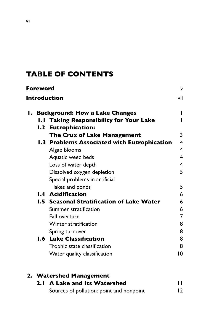#### **TABLE OF CONTENTS**

| Foreword                      |                                             | ٧              |  |
|-------------------------------|---------------------------------------------|----------------|--|
| <b>Introduction</b><br>vii    |                                             |                |  |
| Ι.                            | <b>Background: How a Lake Changes</b>       |                |  |
| $\mathbf{I} \cdot \mathbf{I}$ | <b>Taking Responsibility for Your Lake</b>  |                |  |
|                               | 1.2 Eutrophication:                         |                |  |
|                               | <b>The Crux of Lake Management</b>          | 3              |  |
|                               | 1.3 Problems Associated with Eutrophication | 4              |  |
|                               | Algae blooms                                | 4              |  |
|                               | Aquatic weed beds                           | 4              |  |
|                               | Loss of water depth                         | $\overline{4}$ |  |
|                               | Dissolved oxygen depletion                  | 5              |  |
|                               | Special problems in artificial              |                |  |
|                               | lakes and ponds                             | 5              |  |
|                               | <b>1.4 Acidification</b>                    | 6              |  |
|                               | 1.5 Seasonal Stratification of Lake Water   | 6              |  |
|                               | Summer stratification                       | 6              |  |
|                               | Fall overturn                               | 7              |  |
|                               | Winter stratification                       | 8              |  |
|                               | Spring turnover                             | 8              |  |
|                               | <b>1.6 Lake Classification</b>              | 8              |  |
|                               | Trophic state classification                | 8              |  |
|                               | Water quality classification                | 10             |  |
|                               |                                             |                |  |

|  | 2. Watershed Management                  |    |  |
|--|------------------------------------------|----|--|
|  | 2.1 A Lake and Its Watershed             | П  |  |
|  | Sources of pollution: point and nonpoint | 12 |  |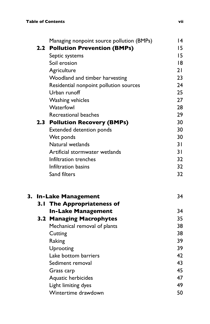|  | Managing nonpoint source pollution (BMPs) | 14 |
|--|-------------------------------------------|----|
|  | 2.2 Pollution Prevention (BMPs)           | 15 |
|  | Septic systems                            | 15 |
|  | Soil erosion                              | 18 |
|  | Agriculture                               | 21 |
|  | Woodland and timber harvesting            | 23 |
|  | Residential nonpoint pollution sources    | 24 |
|  | Urban runoff                              | 25 |
|  | Washing vehicles                          | 27 |
|  | Waterfowl                                 | 28 |
|  | Recreational beaches                      | 29 |
|  | 2.3 Pollution Recovery (BMPs)             | 30 |
|  | Extended detention ponds                  | 30 |
|  | Wet ponds                                 | 30 |
|  | Natural wetlands                          | 31 |
|  | Artificial stormwater wetlands            | 31 |
|  | Infiltration trenches                     | 32 |
|  | Infiltration basins                       | 32 |
|  | Sand filters                              | 32 |
|  | 3. In-Lake Management                     | 34 |
|  | 3.1 The Appropriateness of                |    |
|  | <b>In-Lake Management</b>                 | 34 |
|  | 3.2 Managing Macrophytes                  | 35 |
|  | Mechanical removal of plants              | 38 |
|  | Cutting                                   | 38 |
|  | Raking                                    | 39 |
|  | Uprooting                                 | 39 |
|  | Lake bottom barriers                      | 42 |
|  | Sediment removal                          | 43 |
|  | Grass carp                                | 45 |
|  | Aquatic herbicides                        | 47 |
|  | Light limiting dyes                       | 49 |
|  | Wintertime drawdown                       | 50 |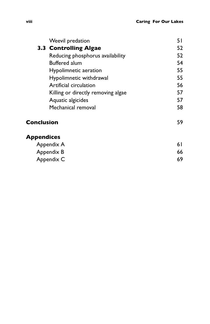|            | Weevil predation                   | 51 |
|------------|------------------------------------|----|
|            | 3.3 Controlling Algae              | 52 |
|            | Reducing phosphorus availability   | 52 |
|            | <b>Buffered alum</b>               | 54 |
|            | Hypolimnetic aeration              | 55 |
|            | Hypolimnetic withdrawal            | 55 |
|            | Artificial circulation             | 56 |
|            | Killing or directly removing algae | 57 |
|            | Aquatic algicides                  | 57 |
|            | Mechanical removal                 | 58 |
| Conclusion |                                    | 59 |

#### **Appendices**

| Appendix A | 6 I |
|------------|-----|
| Appendix B | 66  |
| Appendix C | 69  |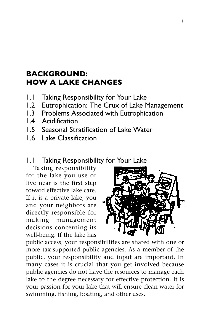#### **BACKGROUND: HOW A LAKE CHANGES**

- 1.1 Taking Responsibility for Your Lake
- 1.2 Eutrophication: The Crux of Lake Management
- 1.3 Problems Associated with Eutrophication
- 1.4 Acidification
- 1.5 Seasonal Stratification of Lake Water
- 1.6 Lake Classification

#### 1.1 Taking Responsibility for Your Lake

Taking responsibility for the lake you use or live near is the first step toward effective lake care. If it is a private lake, you and your neighbors are directly responsible for making management decisions concerning its well-being. If the lake has



public access, your responsibilities are shared with one or more tax-supported public agencies. As a member of the public, your responsibility and input are important. In many cases it is crucial that you get involved because public agencies do not have the resources to manage each lake to the degree necessary for effective protection. It is your passion for your lake that will ensure clean water for swimming, fishing, boating, and other uses.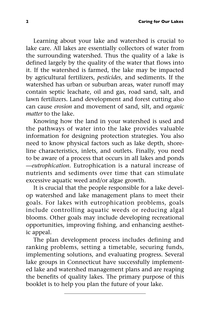Learning about your lake and watershed is crucial to lake care. All lakes are essentially collectors of water from the surrounding watershed. Thus the quality of a lake is defined largely by the quality of the water that flows into it. If the watershed is farmed, the lake may be impacted by agricultural fertilizers, *pesticides*, and sediments. If the watershed has urban or suburban areas, water runoff may contain septic leachate, oil and gas, road sand, salt, and lawn fertilizers. Land development and forest cutting also can cause *erosion* and movement of sand, silt, and *organic matter* to the lake.

Knowing how the land in your watershed is used and the pathways of water into the lake provides valuable information for designing protection strategies. You also need to know physical factors such as lake depth, shoreline characteristics, inlets, and outlets. Finally, you need to be aware of a process that occurs in all lakes and ponds —*eutrophication*. Eutrophication is a natural increase of nutrients and sediments over time that can stimulate excessive aquatic weed and/or algae growth.

It is crucial that the people responsible for a lake develop watershed and lake management plans to meet their goals. For lakes with eutrophication problems, goals include controlling aquatic weeds or reducing algal blooms. Other goals may include developing recreational opportunities, improving fishing, and enhancing aesthetic appeal.

The plan development process includes defining and ranking problems, setting a timetable, securing funds, implementing solutions, and evaluating progress. Several lake groups in Connecticut have successfully implemented lake and watershed management plans and are reaping the benefits of quality lakes. The primary purpose of this booklet is to help you plan the future of your lake.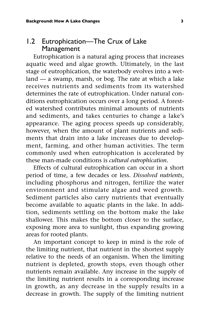#### 1.2 Eutrophication—The Crux of Lake Management

Eutrophication is a natural aging process that increases aquatic weed and algae growth. Ultimately, in the last stage of eutrophication, the waterbody evolves into a wetland — a swamp, marsh, or bog. The rate at which a lake receives nutrients and sediments from its watershed determines the rate of eutrophication. Under natural conditions eutrophication occurs over a long period. A forested watershed contributes minimal amounts of nutrients and sediments, and takes centuries to change a lake's appearance. The aging process speeds up considerably, however, when the amount of plant nutrients and sediments that drain into a lake increases due to development, farming, and other human activities. The term commonly used when eutrophication is accelerated by these man-made conditions is *cultural eutrophication*.

Effects of cultural eutrophication can occur in a short period of time, a few decades or less. *Dissolved nutrients*, including phosphorus and nitrogen, fertilize the water environment and stimulate algae and weed growth. Sediment particles also carry nutrients that eventually become available to aquatic plants in the lake. In addition, sediments settling on the bottom make the lake shallower. This makes the bottom closer to the surface, exposing more area to sunlight, thus expanding growing areas for rooted plants.

An important concept to keep in mind is the role of the limiting nutrient, that nutrient in the shortest supply relative to the needs of an organism. When the limiting nutrient is depleted, growth stops, even though other nutrients remain available. Any increase in the supply of the limiting nutrient results in a corresponding increase in growth, as any decrease in the supply results in a decrease in growth. The supply of the limiting nutrient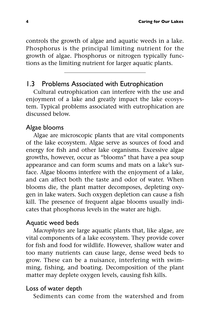controls the growth of algae and aquatic weeds in a lake. Phosphorus is the principal limiting nutrient for the growth of algae. Phosphorus or nitrogen typically functions as the limiting nutrient for larger aquatic plants.

#### 1.3 Problems Associated with Eutrophication

Cultural eutrophication can interfere with the use and enjoyment of a lake and greatly impact the lake ecosystem. Typical problems associated with eutrophication are discussed below.

#### Algae blooms

Algae are microscopic plants that are vital components of the lake ecosystem. Algae serve as sources of food and energy for fish and other lake organisms. Excessive algae growths, however, occur as "blooms" that have a pea soup appearance and can form scums and mats on a lake's surface. Algae blooms interfere with the enjoyment of a lake, and can affect both the taste and odor of water. When blooms die, the plant matter decomposes, depleting oxygen in lake waters. Such oxygen depletion can cause a fish kill. The presence of frequent algae blooms usually indicates that phosphorus levels in the water are high.

#### Aquatic weed beds

*Macrophytes* are large aquatic plants that, like algae, are vital components of a lake ecosystem. They provide cover for fish and food for wildlife. However, shallow water and too many nutrients can cause large, dense weed beds to grow. These can be a nuisance, interfering with swimming, fishing, and boating. Decomposition of the plant matter may deplete oxygen levels, causing fish kills.

#### Loss of water depth

Sediments can come from the watershed and from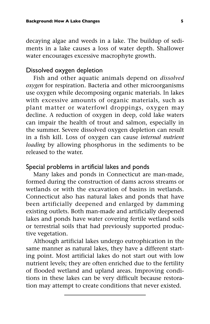decaying algae and weeds in a lake. The buildup of sediments in a lake causes a loss of water depth. Shallower water encourages excessive macrophyte growth.

#### Dissolved oxygen depletion

Fish and other aquatic animals depend on *dissolved oxygen* for respiration. Bacteria and other microorganisms use oxygen while decomposing organic materials. In lakes with excessive amounts of organic materials, such as plant matter or waterfowl droppings, oxygen may decline. A reduction of oxygen in deep, cold lake waters can impair the health of trout and salmon, especially in the summer. Severe dissolved oxygen depletion can result in a fish kill. Loss of oxygen can cause *internal nutrient loading* by allowing phosphorus in the sediments to be released to the water.

#### Special problems in artificial lakes and ponds

Many lakes and ponds in Connecticut are man-made, formed during the construction of dams across streams or wetlands or with the excavation of basins in wetlands. Connecticut also has natural lakes and ponds that have been artificially deepened and enlarged by damming existing outlets. Both man-made and artificially deepened lakes and ponds have water covering fertile wetland soils or terrestrial soils that had previously supported productive vegetation.

Although artificial lakes undergo eutrophication in the same manner as natural lakes, they have a different starting point. Most artificial lakes do not start out with low nutrient levels; they are often enriched due to the fertility of flooded wetland and upland areas. Improving conditions in these lakes can be very difficult because restoration may attempt to create conditions that never existed.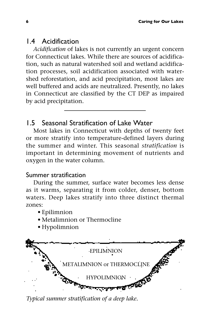#### 1.4 Acidification

*Acidification* of lakes is not currently an urgent concern for Connecticut lakes. While there are sources of acidification, such as natural watershed soil and wetland acidification processes, soil acidification associated with watershed reforestation, and acid precipitation, most lakes are well buffered and acids are neutralized. Presently, no lakes in Connecticut are classified by the CT DEP as impaired by acid precipitation.

#### 1.5 Seasonal Stratification of Lake Water

Most lakes in Connecticut with depths of twenty feet or more stratify into temperature-defined layers during the summer and winter. This seasonal *stratification* is important in determining movement of nutrients and oxygen in the water column.

#### Summer stratification

During the summer, surface water becomes less dense as it warms, separating it from colder, denser, bottom waters. Deep lakes stratify into three distinct thermal zones:

- Epilimnion
- Metalimnion or Thermocline
- Hypolimnion



*Typical summer stratification of a deep lake.*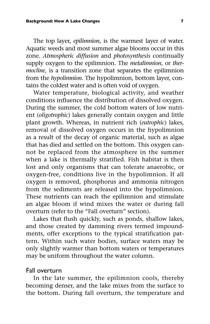The top layer, *epilimnion*, is the warmest layer of water. Aquatic weeds and most summer algae blooms occur in this zone. *Atmospheric diffusion* and *photosynthesis* continually supply oxygen to the epilimnion. The *metalimnion*, or *thermocline*, is a transition zone that separates the epilimnion from the *hypolimnion*. The hypolimnion, bottom layer, contains the coldest water and is often void of oxygen.

Water temperature, biological activity, and weather conditions influence the distribution of dissolved oxygen. During the summer, the cold bottom waters of low nutrient (*oligotrophic*) lakes generally contain oxygen and little plant growth. Whereas, in nutrient rich (*eutrophic*) lakes, removal of dissolved oxygen occurs in the hypolimnion as a result of the decay of organic material, such as algae that has died and settled on the bottom. This oxygen cannot be replaced from the atmosphere in the summer when a lake is thermally stratified. Fish habitat is then lost and only organisms that can tolerate anaerobic, or oxygen-free, conditions live in the hypolimnion. If all oxygen is removed, phosphorus and ammonia nitrogen from the sediments are released into the hypolimnion. These nutrients can reach the epilimnion and stimulate an algae bloom if wind mixes the water or during fall overturn (refer to the "Fall overturn" section).

Lakes that flush quickly, such as ponds, shallow lakes, and those created by damming rivers termed impoundments, offer exceptions to the typical stratification pattern. Within such water bodies, surface waters may be only slightly warmer than bottom waters or temperatures may be uniform throughout the water column.

#### Fall overturn

In the late summer, the epilimnion cools, thereby becoming denser, and the lake mixes from the surface to the bottom. During fall overturn, the temperature and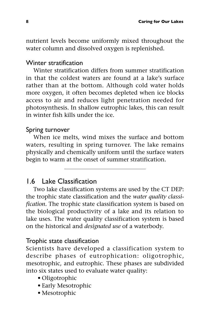nutrient levels become uniformly mixed throughout the water column and dissolved oxygen is replenished.

#### Winter stratification

Winter stratification differs from summer stratification in that the coldest waters are found at a lake's surface rather than at the bottom. Although cold water holds more oxygen, it often becomes depleted when ice blocks access to air and reduces light penetration needed for photosynthesis. In shallow eutrophic lakes, this can result in winter fish kills under the ice.

#### Spring turnover

When ice melts, wind mixes the surface and bottom waters, resulting in spring turnover. The lake remains physically and chemically uniform until the surface waters begin to warm at the onset of summer stratification.

#### 1.6 Lake Classification

Two lake classification systems are used by the CT DEP: the trophic state classification and the *water quality classification*. The trophic state classification system is based on the biological productivity of a lake and its relation to lake uses. The water quality classification system is based on the historical and *designated use* of a waterbody.

#### Trophic state classification

Scientists have developed a classification system to describe phases of eutrophication: oligotrophic, mesotrophic, and eutrophic. These phases are subdivided into six states used to evaluate water quality:

- Oligotrophic
- Early Mesotrophic
- Mesotrophic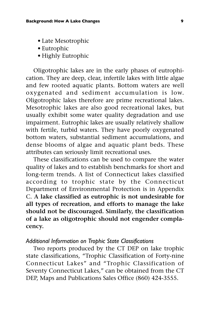- Late Mesotrophic
- Eutrophic
- Highly Eutrophic

Oligotrophic lakes are in the early phases of eutrophication. They are deep, clear, infertile lakes with little algae and few rooted aquatic plants. Bottom waters are well oxygenated and sediment accumulation is low. Oligotrophic lakes therefore are prime recreational lakes. Mesotrophic lakes are also good recreational lakes, but usually exhibit some water quality degradation and use impairment. Eutrophic lakes are usually relatively shallow with fertile, turbid waters. They have poorly oxygenated bottom waters, substantial sediment accumulations, and dense blooms of algae and aquatic plant beds. These attributes can seriously limit recreational uses.

These classifications can be used to compare the water quality of lakes and to establish benchmarks for short and long-term trends. A list of Connecticut lakes classified according to trophic state by the Connecticut Department of Environmental Protection is in Appendix C. **A lake classified as eutrophic is not undesirable for all types of recreation, and efforts to manage the lake should not be discouraged. Similarly, the classification of a lake as oligotrophic should not engender complacency.**

#### *Additional Information on Trophic State Classifications*

Two reports produced by the CT DEP on lake trophic state classifications, "Trophic Classification of Forty-nine Connecticut Lakes" and "Trophic Classification of Seventy Connecticut Lakes," can be obtained from the CT DEP, Maps and Publications Sales Office (860) 424-3555.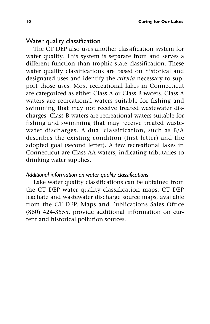#### Water quality classification

The CT DEP also uses another classification system for water quality. This system is separate from and serves a different function than trophic state classification. These water quality classifications are based on historical and designated uses and identify the *criteria* necessary to support those uses. Most recreational lakes in Connecticut are categorized as either Class A or Class B waters. Class A waters are recreational waters suitable for fishing and swimming that may not receive treated wastewater discharges. Class B waters are recreational waters suitable for fishing and swimming that may receive treated wastewater discharges. A dual classification, such as B/A describes the existing condition (first letter) and the adopted goal (second letter). A few recreational lakes in Connecticut are Class AA waters, indicating tributaries to drinking water supplies.

#### *Additional information on water quality classifications*

Lake water quality classifications can be obtained from the CT DEP water quality classification maps. CT DEP leachate and wastewater discharge source maps, available from the CT DEP, Maps and Publications Sales Office (860) 424-3555, provide additional information on current and historical pollution sources.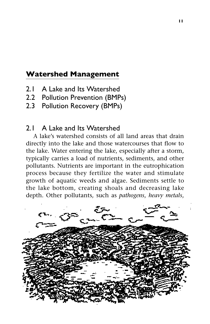#### **Watershed Management**

- 2.1 A Lake and Its Watershed
- 2.2 Pollution Prevention (BMPs)
- 2.3 Pollution Recovery (BMPs)

#### 2.1 A Lake and Its Watershed

A lake's watershed consists of all land areas that drain directly into the lake and those watercourses that flow to the lake. Water entering the lake, especially after a storm, typically carries a load of nutrients, sediments, and other pollutants. Nutrients are important in the eutrophication process because they fertilize the water and stimulate growth of aquatic weeds and algae. Sediments settle to the lake bottom, creating shoals and decreasing lake depth. Other pollutants, such as *pathogens*, *heavy metals*,

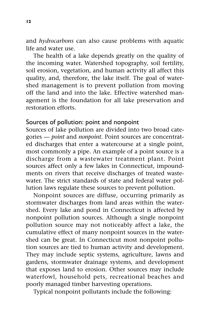and *hydrocarbons* can also cause problems with aquatic life and water use.

The health of a lake depends greatly on the quality of the incoming water. Watershed topography, soil fertility, soil erosion, vegetation, and human activity all affect this quality, and, therefore, the lake itself. The goal of watershed management is to prevent pollution from moving off the land and into the lake. Effective watershed management is the foundation for all lake preservation and restoration efforts.

#### Sources of pollution: point and nonpoint

Sources of lake pollution are divided into two broad categories — *point* and *nonpoint*. Point sources are concentrated discharges that enter a watercourse at a single point, most commonly a pipe. An example of a point source is a discharge from a wastewater treatment plant. Point sources affect only a few lakes in Connecticut, impoundments on rivers that receive discharges of treated wastewater. The strict standards of state and federal water pollution laws regulate these sources to prevent pollution.

Nonpoint sources are diffuse, occurring primarily as stormwater discharges from land areas within the watershed. Every lake and pond in Connecticut is affected by nonpoint pollution sources. Although a single nonpoint pollution source may not noticeably affect a lake, the cumulative effect of many nonpoint sources in the watershed can be great. In Connecticut most nonpoint pollution sources are tied to human activity and development. They may include septic systems, agriculture, lawns and gardens, stormwater drainage systems, and development that exposes land to erosion. Other sources may include waterfowl, household pets, recreational beaches and poorly managed timber harvesting operations.

Typical nonpoint pollutants include the following: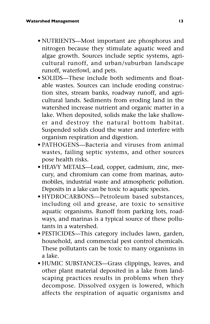- NUTRIENTS—Most important are phosphorus and nitrogen because they stimulate aquatic weed and algae growth. Sources include septic systems, agricultural runoff, and urban/suburban landscape runoff, waterfowl, and pets.
- SOLIDS—These include both sediments and floatable wastes. Sources can include eroding construction sites, stream banks, roadway runoff, and agricultural lands. Sediments from eroding land in the watershed increase nutrient and organic matter in a lake. When deposited, solids make the lake shallower and destroy the natural bottom habitat. Suspended solids cloud the water and interfere with organism respiration and digestion.
- PATHOGENS—Bacteria and viruses from animal wastes, failing septic systems, and other sources pose health risks.
- HEAVY METALS—Lead, copper, cadmium, zinc, mercury, and chromium can come from marinas, automobiles, industrial waste and atmospheric pollution. Deposits in a lake can be toxic to aquatic species.
- HYDROCARBONS—Petroleum based substances, including oil and grease, are toxic to sensitive aquatic organisms. Runoff from parking lots, roadways, and marinas is a typical source of these pollutants in a watershed.
- PESTICIDES—This category includes lawn, garden, household, and commercial pest control chemicals. These pollutants can be toxic to many organisms in a lake.
- HUMIC SUBSTANCES—Grass clippings, leaves, and other plant material deposited in a lake from landscaping practices results in problems when they decompose. Dissolved oxygen is lowered, which affects the respiration of aquatic organisms and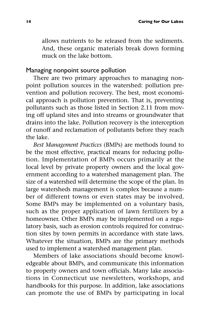allows nutrients to be released from the sediments. And, these organic materials break down forming muck on the lake bottom.

#### Managing nonpoint source pollution

There are two primary approaches to managing nonpoint pollution sources in the watershed: pollution prevention and pollution recovery. The best, most economical approach is pollution prevention. That is, preventing pollutants such as those listed in Section 2.11 from moving off upland sites and into streams or groundwater that drains into the lake. Pollution recovery is the interception of runoff and reclamation of pollutants before they reach the lake.

*Best Management Practices* (BMPs) are methods found to be the most effective, practical means for reducing pollution. Implementation of BMPs occurs primarily at the local level by private property owners and the local government according to a watershed management plan. The size of a watershed will determine the scope of the plan. In large watersheds management is complex because a number of different towns or even states may be involved. Some BMPs may be implemented on a voluntary basis, such as the proper application of lawn fertilizers by a homeowner. Other BMPs may be implemented on a regulatory basis, such as erosion controls required for construction sites by town permits in accordance with state laws. Whatever the situation, BMPs are the primary methods used to implement a watershed management plan.

Members of lake associations should become knowledgeable about BMPs, and communicate this information to property owners and town officials. Many lake associations in Connecticut use newsletters, workshops, and handbooks for this purpose. In addition, lake associations can promote the use of BMPs by participating in local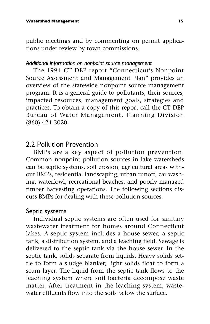public meetings and by commenting on permit applications under review by town commissions.

#### *Additional information on nonpoint source management*

The 1994 CT DEP report "Connecticut's Nonpoint Source Assessment and Management Plan" provides an overview of the statewide nonpoint source management program. It is a general guide to pollutants, their sources, impacted resources, management goals, strategies and practices. To obtain a copy of this report call the CT DEP Bureau of Water Management, Planning Division (860) 424-3020.

#### 2.2 Pollution Prevention

BMPs are a key aspect of pollution prevention. Common nonpoint pollution sources in lake watersheds can be septic systems, soil erosion, agricultural areas without BMPs, residential landscaping, urban runoff, car washing, waterfowl, recreational beaches, and poorly managed timber harvesting operations. The following sections discuss BMPs for dealing with these pollution sources.

#### Septic systems

Individual septic systems are often used for sanitary wastewater treatment for homes around Connecticut lakes. A septic system includes a house sewer, a septic tank, a distribution system, and a leaching field. Sewage is delivered to the septic tank via the house sewer. In the septic tank, solids separate from liquids. Heavy solids settle to form a sludge blanket; light solids float to form a scum layer. The liquid from the septic tank flows to the leaching system where soil bacteria decompose waste matter. After treatment in the leaching system, wastewater effluents flow into the soils below the surface.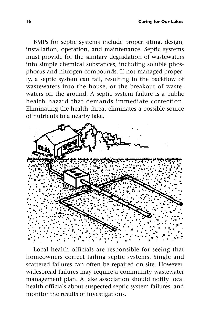BMPs for septic systems include proper siting, design, installation, operation, and maintenance. Septic systems must provide for the sanitary degradation of wastewaters into simple chemical substances, including soluble phosphorus and nitrogen compounds. If not managed properly, a septic system can fail, resulting in the backflow of wastewaters into the house, or the breakout of wastewaters on the ground. A septic system failure is a public health hazard that demands immediate correction. Eliminating the health threat eliminates a possible source of nutrients to a nearby lake.



Local health officials are responsible for seeing that homeowners correct failing septic systems. Single and scattered failures can often be repaired on-site. However, widespread failures may require a community wastewater management plan. A lake association should notify local health officials about suspected septic system failures, and monitor the results of investigations.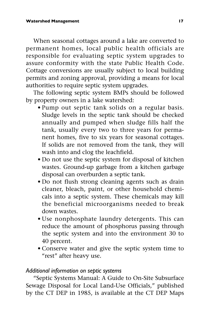When seasonal cottages around a lake are converted to permanent homes, local public health officials are responsible for evaluating septic system upgrades to assure conformity with the state Public Health Code. Cottage conversions are usually subject to local building permits and zoning approval, providing a means for local authorities to require septic system upgrades.

The following septic system BMPs should be followed by property owners in a lake watershed:

- Pump out septic tank solids on a regular basis. Sludge levels in the septic tank should be checked annually and pumped when sludge fills half the tank, usually every two to three years for permanent homes, five to six years for seasonal cottages. If solids are not removed from the tank, they will wash into and clog the leachfield.
- Do not use the septic system for disposal of kitchen wastes. Ground-up garbage from a kitchen garbage disposal can overburden a septic tank.
- Do not flush strong cleaning agents such as drain cleaner, bleach, paint, or other household chemicals into a septic system. These chemicals may kill the beneficial microorganisms needed to break down wastes.
- Use nonphosphate laundry detergents. This can reduce the amount of phosphorus passing through the septic system and into the environment 30 to 40 percent.
- Conserve water and give the septic system time to "rest" after heavy use.

#### *Additional information on septic systems*

"Septic Systems Manual: A Guide to On-Site Subsurface Sewage Disposal for Local Land-Use Officials," published by the CT DEP in 1985, is available at the CT DEP Maps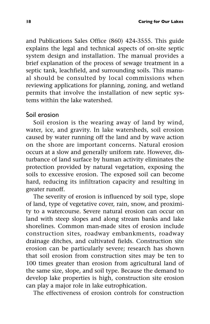and Publications Sales Office (860) 424-3555. This guide explains the legal and technical aspects of on-site septic system design and installation. The manual provides a brief explanation of the process of sewage treatment in a septic tank, leachfield, and surrounding soils. This manual should be consulted by local commissions when reviewing applications for planning, zoning, and wetland permits that involve the installation of new septic systems within the lake watershed.

#### Soil erosion

Soil erosion is the wearing away of land by wind, water, ice, and gravity. In lake watersheds, soil erosion caused by water running off the land and by wave action on the shore are important concerns. Natural erosion occurs at a slow and generally uniform rate. However, disturbance of land surface by human activity eliminates the protection provided by natural vegetation, exposing the soils to excessive erosion. The exposed soil can become hard, reducing its infiltration capacity and resulting in greater runoff.

The severity of erosion is influenced by soil type, slope of land, type of vegetative cover, rain, snow, and proximity to a watercourse. Severe natural erosion can occur on land with steep slopes and along stream banks and lake shorelines. Common man-made sites of erosion include construction sites, roadway embankments, roadway drainage ditches, and cultivated fields. Construction site erosion can be particularly severe; research has shown that soil erosion from construction sites may be ten to 100 times greater than erosion from agricultural land of the same size, slope, and soil type. Because the demand to develop lake properties is high, construction site erosion can play a major role in lake eutrophication.

The effectiveness of erosion controls for construction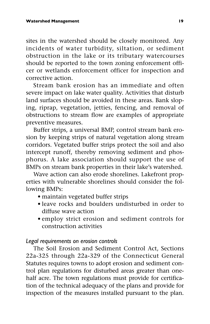sites in the watershed should be closely monitored. Any incidents of water turbidity, siltation, or sediment obstruction in the lake or its tributary watercourses should be reported to the town zoning enforcement officer or wetlands enforcement officer for inspection and corrective action.

Stream bank erosion has an immediate and often severe impact on lake water quality. Activities that disturb land surfaces should be avoided in these areas. Bank sloping, riprap, vegetation, jetties, fencing, and removal of obstructions to stream flow are examples of appropriate preventive measures.

Buffer strips, a universal BMP, control stream bank erosion by keeping strips of natural vegetation along stream corridors. Vegetated buffer strips protect the soil and also intercept runoff, thereby removing sediment and phosphorus. A lake association should support the use of BMPs on stream bank properties in their lake's watershed.

Wave action can also erode shorelines. Lakefront properties with vulnerable shorelines should consider the following BMPs:

- maintain vegetated buffer strips
- leave rocks and boulders undisturbed in order to diffuse wave action
- employ strict erosion and sediment controls for construction activities

#### *Legal requirements on erosion controls*

The Soil Erosion and Sediment Control Act, Sections 22a-325 through 22a-329 of the Connecticut General Statutes requires towns to adopt erosion and sediment control plan regulations for disturbed areas greater than onehalf acre. The town regulations must provide for certification of the technical adequacy of the plans and provide for inspection of the measures installed pursuant to the plan.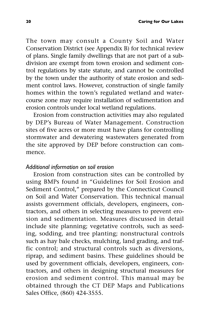The town may consult a County Soil and Water Conservation District (see Appendix B) for technical review of plans. Single family dwellings that are not part of a subdivision are exempt from town erosion and sediment control regulations by state statute, and cannot be controlled by the town under the authority of state erosion and sediment control laws. However, construction of single family homes within the town's regulated wetland and watercourse zone may require installation of sedimentation and erosion controls under local wetland regulations.

Erosion from construction activities may also regulated by DEP's Bureau of Water Management. Construction sites of five acres or more must have plans for controlling stormwater and dewatering wastewaters generated from the site approved by DEP before construction can commence.

#### *Additional information on soil erosion*

Erosion from construction sites can be controlled by using BMPs found in "Guidelines for Soil Erosion and Sediment Control," prepared by the Connecticut Council on Soil and Water Conservation. This technical manual assists government officials, developers, engineers, contractors, and others in selecting measures to prevent erosion and sedimentation. Measures discussed in detail include site planning; vegetative controls, such as seeding, sodding, and tree planting; nonstructural controls such as hay bale checks, mulching, land grading, and traffic control; and structural controls such as diversions, riprap, and sediment basins. These guidelines should be used by government officials, developers, engineers, contractors, and others in designing structural measures for erosion and sediment control. This manual may be obtained through the CT DEP Maps and Publications Sales Office, (860) 424-3555.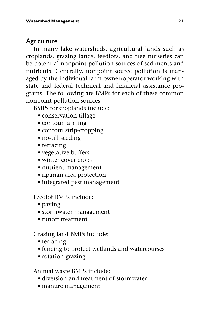#### **Agriculture**

In many lake watersheds, agricultural lands such as croplands, grazing lands, feedlots, and tree nurseries can be potential nonpoint pollution sources of sediments and nutrients. Generally, nonpoint source pollution is managed by the individual farm owner/operator working with state and federal technical and financial assistance programs. The following are BMPs for each of these common nonpoint pollution sources.

BMPs for croplands include:

- conservation tillage
- contour farming
- contour strip-cropping
- no-till seeding
- terracing
- vegetative buffers
- winter cover crops
- nutrient management
- riparian area protection
- integrated pest management

Feedlot BMPs include:

- paving
- stormwater management
- runoff treatment

Grazing land BMPs include:

- terracing
- fencing to protect wetlands and watercourses
- rotation grazing

Animal waste BMPs include:

- diversion and treatment of stormwater
- manure management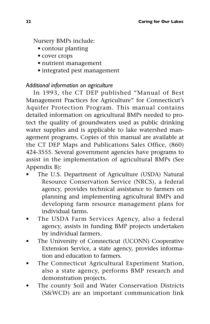Nursery BMPs include:

- contour planting
- cover crops
- nutrient management
- integrated pest management

#### *Additional information on agriculture*

In 1993, the CT DEP published "Manual of Best Management Practices for Agriculture" for Connecticut's Aquifer Protection Program. This manual contains detailed information on agricultural BMPs needed to protect the quality of groundwaters used as public drinking water supplies and is applicable to lake watershed management programs. Copies of this manual are available at the CT DEP Maps and Publications Sales Office, (860) 424-3555. Several government agencies have programs to assist in the implementation of agricultural BMPs (See Appendix B):

- The U.S. Department of Agriculture (USDA) Natural Resource Conservation Service (NRCS), a federal agency, provides technical assistance to farmers on planning and implementing agricultural BMPs and developing farm resource management plans for individual farms.
- The USDA Farm Services Agency, also a federal agency, assists in funding BMP projects undertaken by individual farmers.
- The University of Connecticut (UCONN) Cooperative Extension Service, a state agency, provides information and education to farmers.
- The Connecticut Agricultural Experiment Station, also a state agency, performs BMP research and demonstration projects.
- The county Soil and Water Conservation Districts (S&WCD) are an important communication link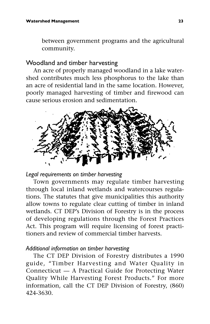between government programs and the agricultural community.

#### Woodland and timber harvesting

An acre of properly managed woodland in a lake watershed contributes much less phosphorus to the lake than an acre of residential land in the same location. However, poorly managed harvesting of timber and firewood can cause serious erosion and sedimentation.



#### *Legal requirements on timber harvesting*

Town governments may regulate timber harvesting through local inland wetlands and watercourses regulations. The statutes that give municipalities this authority allow towns to regulate clear cutting of timber in inland wetlands. CT DEP's Division of Forestry is in the process of developing regulations through the Forest Practices Act. This program will require licensing of forest practitioners and review of commercial timber harvests.

#### *Additional information on timber harvesting*

The CT DEP Division of Forestry distributes a 1990 guide, "Timber Harvesting and Water Quality in Connecticut — A Practical Guide for Protecting Water Quality While Harvesting Forest Products." For more information, call the CT DEP Division of Forestry, (860) 424-3630.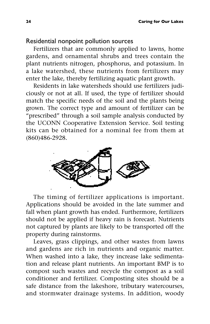#### Residential nonpoint pollution sources

Fertilizers that are commonly applied to lawns, home gardens, and ornamental shrubs and trees contain the plant nutrients nitrogen, phosphorus, and potassium. In a lake watershed, these nutrients from fertilizers may enter the lake, thereby fertilizing aquatic plant growth.

Residents in lake watersheds should use fertilizers judiciously or not at all. If used, the type of fertilizer should match the specific needs of the soil and the plants being grown. The correct type and amount of fertilizer can be "prescribed" through a soil sample analysis conducted by the UCONN Cooperative Extension Service. Soil testing kits can be obtained for a nominal fee from them at (860)486-2928.



The timing of fertilizer applications is important. Applications should be avoided in the late summer and fall when plant growth has ended. Furthermore, fertilizers should not be applied if heavy rain is forecast. Nutrients not captured by plants are likely to be transported off the property during rainstorms.

Leaves, grass clippings, and other wastes from lawns and gardens are rich in nutrients and organic matter. When washed into a lake, they increase lake sedimentation and release plant nutrients. An important BMP is to compost such wastes and recycle the compost as a soil conditioner and fertilizer. Composting sites should be a safe distance from the lakeshore, tributary watercourses, and stormwater drainage systems. In addition, woody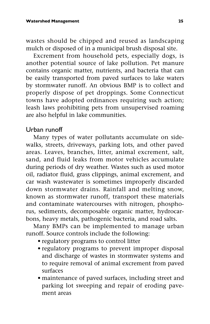wastes should be chipped and reused as landscaping mulch or disposed of in a municipal brush disposal site.

Excrement from household pets, especially dogs, is another potential source of lake pollution. Pet manure contains organic matter, nutrients, and bacteria that can be easily transported from paved surfaces to lake waters by stormwater runoff. An obvious BMP is to collect and properly dispose of pet droppings. Some Connecticut towns have adopted ordinances requiring such action; leash laws prohibiting pets from unsupervised roaming are also helpful in lake communities.

#### Urban runoff

Many types of water pollutants accumulate on sidewalks, streets, driveways, parking lots, and other paved areas. Leaves, branches, litter, animal excrement, salt, sand, and fluid leaks from motor vehicles accumulate during periods of dry weather. Wastes such as used motor oil, radiator fluid, grass clippings, animal excrement, and car wash wastewater is sometimes improperly discarded down stormwater drains. Rainfall and melting snow, known as stormwater runoff, transport these materials and contaminate watercourses with nitrogen, phosphorus, sediments, decomposable organic matter, hydrocarbons, heavy metals, pathogenic bacteria, and road salts.

Many BMPs can be implemented to manage urban runoff. Source controls include the following:

- regulatory programs to control litter
- regulatory programs to prevent improper disposal and discharge of wastes in stormwater systems and to require removal of animal excrement from paved surfaces
- maintenance of paved surfaces, including street and parking lot sweeping and repair of eroding pavement areas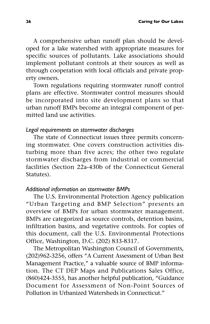A comprehensive urban runoff plan should be developed for a lake watershed with appropriate measures for specific sources of pollutants. Lake associations should implement pollutant controls at their sources as well as through cooperation with local officials and private property owners.

Town regulations requiring stormwater runoff control plans are effective. Stormwater control measures should be incorporated into site development plans so that urban runoff BMPs become an integral component of permitted land use activities.

#### *Legal requirements on stormwater discharges*

The state of Connecticut issues three permits concerning stormwater. One covers construction activities disturbing more than five acres; the other two regulate stormwater discharges from industrial or commercial facilities (Section 22a-430b of the Connecticut General Statutes).

#### *Additional information on stormwater BMPs*

The U.S. Environmental Protection Agency publication "Urban Targeting and BMP Selection" presents an overview of BMPs for urban stormwater management. BMPs are categorized as source controls, detention basins, infiltration basins, and vegetative controls. For copies of this document, call the U.S. Environmental Protections Office, Washington, D.C. (202) 833-8317.

The Metropolitan Washington Council of Governments, (202)962-3256, offers "A Current Assessment of Urban Best Management Practice," a valuable source of BMP information. The CT DEP Maps and Publications Sales Office, (860)424-3555, has another helpful publication, "Guidance Document for Assessment of Non-Point Sources of Pollution in Urbanized Watersheds in Connecticut."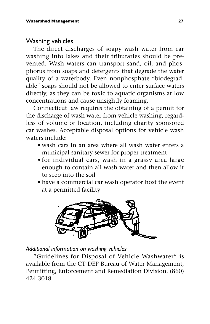#### Washing vehicles

The direct discharges of soapy wash water from car washing into lakes and their tributaries should be prevented. Wash waters can transport sand, oil, and phosphorus from soaps and detergents that degrade the water quality of a waterbody. Even nonphosphate "biodegradable" soaps should not be allowed to enter surface waters directly, as they can be toxic to aquatic organisms at low concentrations and cause unsightly foaming.

Connecticut law requires the obtaining of a permit for the discharge of wash water from vehicle washing, regardless of volume or location, including charity sponsored car washes. Acceptable disposal options for vehicle wash waters include:

- wash cars in an area where all wash water enters a municipal sanitary sewer for proper treatment
- for individual cars, wash in a grassy area large enough to contain all wash water and then allow it to seep into the soil
- have a commercial car wash operator host the event at a permitted facility



#### *Additional information on washing vehicles*

"Guidelines for Disposal of Vehicle Washwater" is available from the CT DEP Bureau of Water Management, Permitting, Enforcement and Remediation Division, (860) 424-3018.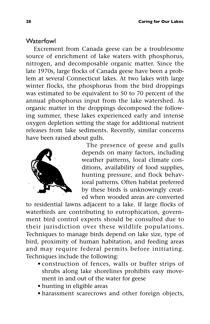## **Waterfowl**

Excrement from Canada geese can be a troublesome source of enrichment of lake waters with phosphorus, nitrogen, and decomposable organic matter. Since the late 1970s, large flocks of Canada geese have been a problem at several Connecticut lakes. At two lakes with large winter flocks, the phosphorus from the bird droppings was estimated to be equivalent to 50 to 70 percent of the annual phosphorus input from the lake watershed. As organic matter in the droppings decomposed the following summer, these lakes experienced early and intense oxygen depletion setting the stage for additional nutrient releases from lake sediments. Recently, similar concerns have been raised about gulls.



The presence of geese and gulls depends on many factors, including weather patterns, local climate conditions, availability of food supplies, hunting pressure, and flock behavioral patterns. Often habitat preferred by these birds is unknowingly created when wooded areas are converted

to residential lawns adjacent to a lake. If large flocks of waterbirds are contributing to eutrophication, government bird control experts should be consulted due to their jurisdiction over these wildlife populations. Techniques to manage birds depend on lake size, type of bird, proximity of human habitation, and feeding areas and may require federal permits before initiating. Techniques include the following:

- construction of fences, walls or buffer strips of shrubs along lake shorelines prohibits easy movement in and out of the water for geese
- hunting in eligible areas
- harassment scarecrows and other foreign objects,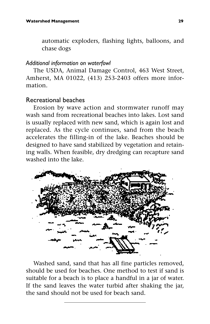automatic exploders, flashing lights, balloons, and chase dogs

## *Additional information on waterfowl*

The USDA, Animal Damage Control, 463 West Street, Amherst, MA 01022, (413) 253-2403 offers more information.

## Recreational beaches

Erosion by wave action and stormwater runoff may wash sand from recreational beaches into lakes. Lost sand is usually replaced with new sand, which is again lost and replaced. As the cycle continues, sand from the beach accelerates the filling-in of the lake. Beaches should be designed to have sand stabilized by vegetation and retaining walls. When feasible, dry dredging can recapture sand washed into the lake.



Washed sand, sand that has all fine particles removed, should be used for beaches. One method to test if sand is suitable for a beach is to place a handful in a jar of water. If the sand leaves the water turbid after shaking the jar, the sand should not be used for beach sand.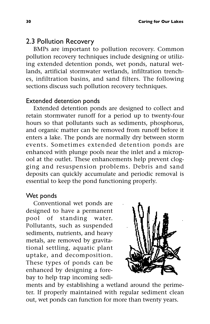## 2.3 Pollution Recovery

BMPs are important to pollution recovery. Common pollution recovery techniques include designing or utilizing extended detention ponds, wet ponds, natural wetlands, artificial stormwater wetlands, infiltration trenches, infiltration basins, and sand filters. The following sections discuss such pollution recovery techniques.

## Extended detention ponds

Extended detention ponds are designed to collect and retain stormwater runoff for a period up to twenty-four hours so that pollutants such as sediments, phosphorus, and organic matter can be removed from runoff before it enters a lake. The ponds are normally dry between storm events. Sometimes extended detention ponds are enhanced with plunge pools near the inlet and a micropool at the outlet. These enhancements help prevent clogging and resuspension problems. Debris and sand deposits can quickly accumulate and periodic removal is essential to keep the pond functioning properly.

#### Wet ponds

Conventional wet ponds are designed to have a permanent pool of standing water. Pollutants, such as suspended sediments, nutrients, and heavy metals, are removed by gravitational settling, aquatic plant uptake, and decomposition. These types of ponds can be enhanced by designing a forebay to help trap incoming sedi-



ments and by establishing a wetland around the perimeter. If properly maintained with regular sediment clean out, wet ponds can function for more than twenty years.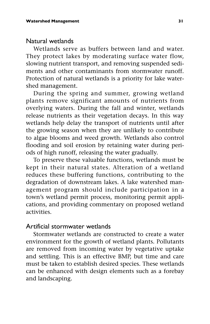#### Natural wetlands

Wetlands serve as buffers between land and water. They protect lakes by moderating surface water flow, slowing nutrient transport, and removing suspended sediments and other contaminants from stormwater runoff. Protection of natural wetlands is a priority for lake watershed management.

During the spring and summer, growing wetland plants remove significant amounts of nutrients from overlying waters. During the fall and winter, wetlands release nutrients as their vegetation decays. In this way wetlands help delay the transport of nutrients until after the growing season when they are unlikely to contribute to algae blooms and weed growth. Wetlands also control flooding and soil erosion by retaining water during periods of high runoff, releasing the water gradually.

To preserve these valuable functions, wetlands must be kept in their natural states. Alteration of a wetland reduces these buffering functions, contributing to the degradation of downstream lakes. A lake watershed management program should include participation in a town's wetland permit process, monitoring permit applications, and providing commentary on proposed wetland activities.

#### Artificial stormwater wetlands

Stormwater wetlands are constructed to create a water environment for the growth of wetland plants. Pollutants are removed from incoming water by vegetative uptake and settling. This is an effective BMP, but time and care must be taken to establish desired species. These wetlands can be enhanced with design elements such as a forebay and landscaping.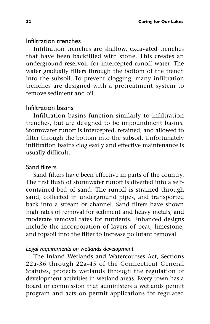### Infiltration trenches

Infiltration trenches are shallow, excavated trenches that have been backfilled with stone. This creates an underground reservoir for intercepted runoff water. The water gradually filters through the bottom of the trench into the subsoil. To prevent clogging, many infiltration trenches are designed with a pretreatment system to remove sediment and oil.

## Infiltration basins

Infiltration basins function similarly to infiltration trenches, but are designed to be impoundment basins. Stormwater runoff is intercepted, retained, and allowed to filter through the bottom into the subsoil. Unfortunately infiltration basins clog easily and effective maintenance is usually difficult.

## Sand filters

Sand filters have been effective in parts of the country. The first flush of stormwater runoff is diverted into a selfcontained bed of sand. The runoff is strained through sand, collected in underground pipes, and transported back into a stream or channel. Sand filters have shown high rates of removal for sediment and heavy metals, and moderate removal rates for nutrients. Enhanced designs include the incorporation of layers of peat, limestone, and topsoil into the filter to increase pollutant removal.

## *Legal requirements on wetlands development*

The Inland Wetlands and Watercourses Act, Sections 22a-36 through 22a-45 of the Connecticut General Statutes, protects wetlands through the regulation of development activities in wetland areas. Every town has a board or commission that administers a wetlands permit program and acts on permit applications for regulated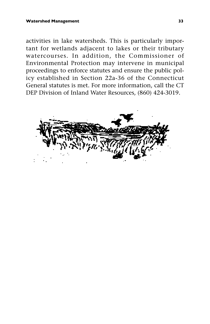activities in lake watersheds. This is particularly important for wetlands adjacent to lakes or their tributary watercourses. In addition, the Commissioner of Environmental Protection may intervene in municipal proceedings to enforce statutes and ensure the public policy established in Section 22a-36 of the Connecticut General statutes is met. For more information, call the CT DEP Division of Inland Water Resources, (860) 424-3019.

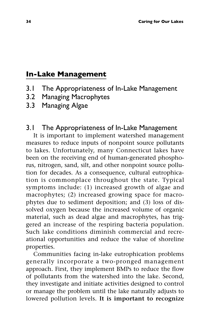# **In-Lake Management**

- 3.1 The Appropriateness of In-Lake Management
- 3.2 Managing Macrophytes
- 3.3 Managing Algae

# 3.1 The Appropriateness of In-Lake Management

It is important to implement watershed management measures to reduce inputs of nonpoint source pollutants to lakes. Unfortunately, many Connecticut lakes have been on the receiving end of human-generated phosphorus, nitrogen, sand, silt, and other nonpoint source pollution for decades. As a consequence, cultural eutrophication is commonplace throughout the state. Typical symptoms include: (1) increased growth of algae and macrophytes; (2) increased growing space for macrophytes due to sediment deposition; and (3) loss of dissolved oxygen because the increased volume of organic material, such as dead algae and macrophytes, has triggered an increase of the respiring bacteria population. Such lake conditions diminish commercial and recreational opportunities and reduce the value of shoreline properties.

Communities facing in-lake eutrophication problems generally incorporate a two-pronged management approach. First, they implement BMPs to reduce the flow of pollutants from the watershed into the lake. Second, they investigate and initiate activities designed to control or manage the problem until the lake naturally adjusts to lowered pollution levels. **It is important to recognize**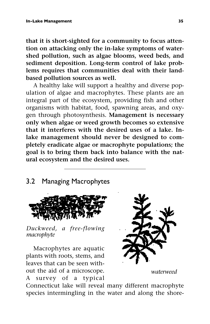**that it is short-sighted for a community to focus attention on attacking only the in-lake symptoms of watershed pollution, such as algae blooms, weed beds, and sediment deposition. Long-term control of lake problems requires that communities deal with their landbased pollution sources as well.**

A healthy lake will support a healthy and diverse population of algae and macrophytes. These plants are an integral part of the ecosystem, providing fish and other organisms with habitat, food, spawning areas, and oxygen through photosynthesis. **Management is necessary only when algae or weed growth becomes so extensive that it interferes with the desired uses of a lake. Inlake management should never be designed to completely eradicate algae or macrophyte populations; the goal is to bring them back into balance with the natural ecosystem and the desired uses.**

# 3.2 Managing Macrophytes



*Duckweed, a free-flowing macrophyte*

Macrophytes are aquatic plants with roots, stems, and leaves that can be seen without the aid of a microscope. A survey of a typical



*waterweed*

Connecticut lake will reveal many different macrophyte species intermingling in the water and along the shore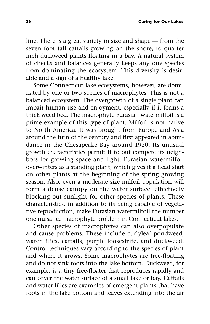line. There is a great variety in size and shape — from the seven foot tall cattails growing on the shore, to quarter inch duckweed plants floating in a bay. A natural system of checks and balances generally keeps any one species from dominating the ecosystem. This diversity is desirable and a sign of a healthy lake.

Some Connecticut lake ecosystems, however, are dominated by one or two species of macrophytes. This is not a balanced ecosystem. The overgrowth of a single plant can impair human use and enjoyment, especially if it forms a thick weed bed. The macrophyte Eurasian watermilfoil is a prime example of this type of plant. Milfoil is not native to North America. It was brought from Europe and Asia around the turn of the century and first appeared in abundance in the Chesapeake Bay around 1920. Its unusual growth characteristics permit it to out compete its neighbors for growing space and light. Eurasian watermilfoil overwinters as a standing plant, which gives it a head start on other plants at the beginning of the spring growing season. Also, even a moderate size milfoil population will form a dense canopy on the water surface, effectively blocking out sunlight for other species of plants. These characteristics, in addition to its being capable of vegetative reproduction, make Eurasian watermilfoil the number one nuisance macrophyte problem in Connecticut lakes.

Other species of macrophytes can also overpopulate and cause problems. These include curlyleaf pondweed, water lilies, cattails, purple loosestrife, and duckweed. Control techniques vary according to the species of plant and where it grows. Some macrophytes are free-floating and do not sink roots into the lake bottom. Duckweed, for example, is a tiny free-floater that reproduces rapidly and can cover the water surface of a small lake or bay. Cattails and water lilies are examples of emergent plants that have roots in the lake bottom and leaves extending into the air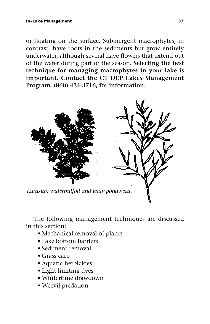or floating on the surface. Submergent macrophytes, in contrast, have roots in the sediments but grow entirely underwater, although several have flowers that extend out of the water during part of the season. **Selecting the best technique for managing macrophytes in your lake is important. Contact the CT DEP Lakes Management Program, (860) 424-3716, for information.**



The following management techniques are discussed in this section:

- Mechanical removal of plants
- Lake bottom barriers
- Sediment removal
- Grass carp
- Aquatic herbicides
- Light limiting dyes
- Wintertime drawdown
- Weevil predation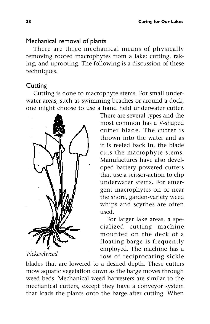## Mechanical removal of plants

There are three mechanical means of physically removing rooted macrophytes from a lake: cutting, raking, and uprooting. The following is a discussion of these techniques.

## **Cutting**

Cutting is done to macrophyte stems. For small underwater areas, such as swimming beaches or around a dock, one might choose to use a hand held underwater cutter.



*Pickerelweed*

There are several types and the most common has a V-shaped cutter blade. The cutter is thrown into the water and as it is reeled back in, the blade cuts the macrophyte stems. Manufactures have also developed battery powered cutters that use a scissor-action to clip underwater stems. For emergent macrophytes on or near the shore, garden-variety weed whips and scythes are often used.

For larger lake areas, a specialized cutting machine mounted on the deck of a floating barge is frequently employed. The machine has a row of reciprocating sickle

blades that are lowered to a desired depth. These cutters mow aquatic vegetation down as the barge moves through weed beds. Mechanical weed harvesters are similar to the mechanical cutters, except they have a conveyor system that loads the plants onto the barge after cutting. When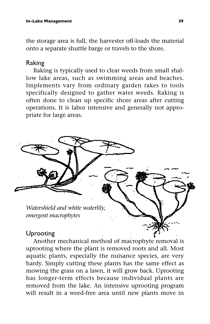the storage area is full, the harvester off-loads the material onto a separate shuttle barge or travels to the shore.

## Raking

Raking is typically used to clear weeds from small shallow lake areas, such as swimming areas and beaches. Implements vary from ordinary garden rakes to tools specifically designed to gather water weeds. Raking is often done to clean up specific shore areas after cutting operations. It is labor intensive and generally not appropriate for large areas.



Another mechanical method of macrophyte removal is uprooting where the plant is removed roots and all. Most aquatic plants, especially the nuisance species, are very hardy. Simply cutting these plants has the same effect as mowing the grass on a lawn, it will grow back. Uprooting has longer-term effects because individual plants are removed from the lake. An intensive uprooting program will result in a weed-free area until new plants move in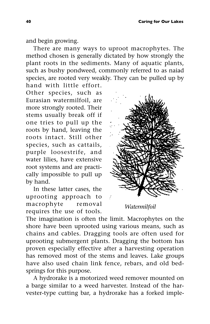and begin growing.

There are many ways to uproot macrophytes. The method chosen is generally dictated by how strongly the plant roots in the sediments. Many of aquatic plants, such as bushy pondweed, commonly referred to as naiad species, are rooted very weakly. They can be pulled up by hand with little effort.

Other species, such as Eurasian watermilfoil, are more strongly rooted. Their stems usually break off if one tries to pull up the roots by hand, leaving the roots intact. Still other species, such as cattails, purple loosestrife, and water lilies, have extensive root systems and are practically impossible to pull up by hand.

In these latter cases, the uprooting approach to macrophyte removal requires the use of tools.



#### *Watermilfoil*

The imagination is often the limit. Macrophytes on the shore have been uprooted using various means, such as chains and cables. Dragging tools are often used for uprooting submergent plants. Dragging the bottom has proven especially effective after a harvesting operation has removed most of the stems and leaves. Lake groups have also used chain link fence, rebars, and old bedsprings for this purpose.

A hydrorake is a motorized weed remover mounted on a barge similar to a weed harvester. Instead of the harvester-type cutting bar, a hydrorake has a forked imple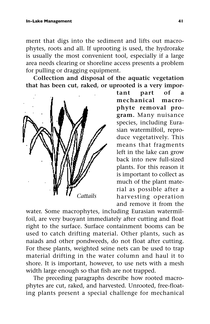ment that digs into the sediment and lifts out macrophytes, roots and all. If uprooting is used, the hydrorake is usually the most convenient tool, especially if a large area needs clearing or shoreline access presents a problem for pulling or dragging equipment.

**Collection and disposal of the aquatic vegetation that has been cut, raked, or uprooted is a very impor-**



**tant part of a mechanical macrophyte removal program.** Many nuisance species, including Eurasian watermilfoil, reproduce vegetatively. This means that fragments left in the lake can grow back into new full-sized plants. For this reason it is important to collect as much of the plant material as possible after a harvesting operation and remove it from the

water. Some macrophytes, including Eurasian watermilfoil, are very buoyant immediately after cutting and float right to the surface. Surface containment booms can be used to catch drifting material. Other plants, such as naiads and other pondweeds, do not float after cutting. For these plants, weighted seine nets can be used to trap material drifting in the water column and haul it to shore. It is important, however, to use nets with a mesh width large enough so that fish are not trapped.

The preceding paragraphs describe how rooted macrophytes are cut, raked, and harvested. Unrooted, free-floating plants present a special challenge for mechanical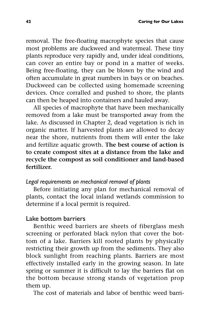removal. The free-floating macrophyte species that cause most problems are duckweed and watermeal. These tiny plants reproduce very rapidly and, under ideal conditions, can cover an entire bay or pond in a matter of weeks. Being free-floating, they can be blown by the wind and often accumulate in great numbers in bays or on beaches. Duckweed can be collected using homemade screening devices. Once corralled and pushed to shore, the plants can then be heaped into containers and hauled away.

All species of macrophyte that have been mechanically removed from a lake must be transported away from the lake. As discussed in Chapter 2, dead vegetation is rich in organic matter. If harvested plants are allowed to decay near the shore, nutrients from them will enter the lake and fertilize aquatic growth. **The best course of action is to create compost sites at a distance from the lake and recycle the compost as soil conditioner and land-based fertilizer.**

## *Legal requirements on mechanical removal of plants*

Before initiating any plan for mechanical removal of plants, contact the local inland wetlands commission to determine if a local permit is required.

#### Lake bottom barriers

Benthic weed barriers are sheets of fiberglass mesh screening or perforated black nylon that cover the bottom of a lake. Barriers kill rooted plants by physically restricting their growth up from the sediments. They also block sunlight from reaching plants. Barriers are most effectively installed early in the growing season. In late spring or summer it is difficult to lay the barriers flat on the bottom because strong stands of vegetation prop them up.

The cost of materials and labor of benthic weed barri-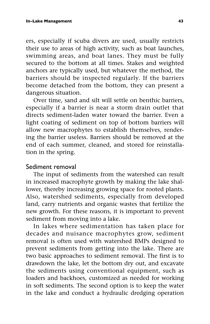ers, especially if scuba divers are used, usually restricts their use to areas of high activity, such as boat launches, swimming areas, and boat lanes. They must be fully secured to the bottom at all times. Stakes and weighted anchors are typically used, but whatever the method, the barriers should be inspected regularly. If the barriers become detached from the bottom, they can present a dangerous situation.

Over time, sand and silt will settle on benthic barriers, especially if a barrier is near a storm drain outlet that directs sediment-laden water toward the barrier. Even a light coating of sediment on top of bottom barriers will allow new macrophytes to establish themselves, rendering the barrier useless. Barriers should be removed at the end of each summer, cleaned, and stored for reinstallation in the spring.

## Sediment removal

The input of sediments from the watershed can result in increased macrophyte growth by making the lake shallower, thereby increasing growing space for rooted plants. Also, watershed sediments, especially from developed land, carry nutrients and organic wastes that fertilize the new growth. For these reasons, it is important to prevent sediment from moving into a lake.

In lakes where sedimentation has taken place for decades and nuisance macrophytes grow, sediment removal is often used with watershed BMPs designed to prevent sediments from getting into the lake. There are two basic approaches to sediment removal. The first is to drawdown the lake, let the bottom dry out, and excavate the sediments using conventional equipment, such as loaders and backhoes, customized as needed for working in soft sediments. The second option is to keep the water in the lake and conduct a hydraulic dredging operation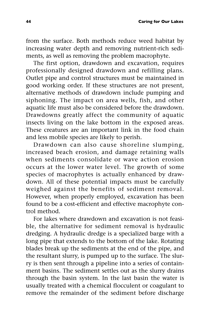from the surface. Both methods reduce weed habitat by increasing water depth and removing nutrient-rich sediments, as well as removing the problem macrophyte.

The first option, drawdown and excavation, requires professionally designed drawdown and refilling plans. Outlet pipe and control structures must be maintained in good working order. If these structures are not present, alternative methods of drawdown include pumping and siphoning. The impact on area wells, fish, and other aquatic life must also be considered before the drawdown. Drawdowns greatly affect the community of aquatic insects living on the lake bottom in the exposed areas. These creatures are an important link in the food chain and less mobile species are likely to perish.

Drawdown can also cause shoreline slumping, increased beach erosion, and damage retaining walls when sediments consolidate or wave action erosion occurs at the lower water level. The growth of some species of macrophytes is actually enhanced by drawdown. All of these potential impacts must be carefully weighed against the benefits of sediment removal. However, when properly employed, excavation has been found to be a cost-efficient and effective macrophyte control method.

For lakes where drawdown and excavation is not feasible, the alternative for sediment removal is hydraulic dredging. A hydraulic dredge is a specialized barge with a long pipe that extends to the bottom of the lake. Rotating blades break up the sediments at the end of the pipe, and the resultant slurry, is pumped up to the surface. The slurry is then sent through a pipeline into a series of containment basins. The sediment settles out as the slurry drains through the basin system. In the last basin the water is usually treated with a chemical flocculent or coagulant to remove the remainder of the sediment before discharge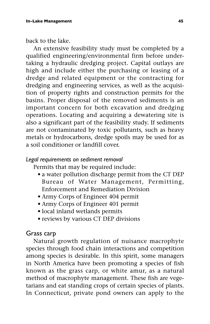back to the lake.

An extensive feasibility study must be completed by a qualified engineering/environmental firm before undertaking a hydraulic dredging project. Capital outlays are high and include either the purchasing or leasing of a dredge and related equipment or the contracting for dredging and engineering services, as well as the acquisition of property rights and construction permits for the basins. Proper disposal of the removed sediments is an important concern for both excavation and dredging operations. Locating and acquiring a dewatering site is also a significant part of the feasibility study. If sediments are not contaminated by toxic pollutants, such as heavy metals or hydrocarbons, dredge spoils may be used for as a soil conditioner or landfill cover.

#### *Legal requirements on sediment removal*

Permits that may be required include:

- a water pollution discharge permit from the CT DEP Bureau of Water Management, Permitting, Enforcement and Remediation Division
- Army Corps of Engineer 404 permit
- Army Corps of Engineer 401 permit
- local inland wetlands permits
- reviews by various CT DEP divisions

## Grass carp

Natural growth regulation of nuisance macrophyte species through food chain interactions and competition among species is desirable. In this spirit, some managers in North America have been promoting a species of fish known as the grass carp, or white amur, as a natural method of macrophyte management. These fish are vegetarians and eat standing crops of certain species of plants. In Connecticut, private pond owners can apply to the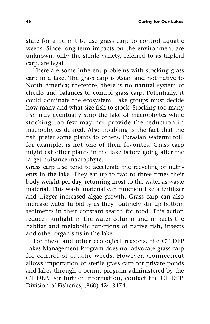state for a permit to use grass carp to control aquatic weeds. Since long-term impacts on the environment are unknown, only the sterile variety, referred to as triploid carp, are legal.

There are some inherent problems with stocking grass carp in a lake. The grass carp is Asian and not native to North America; therefore, there is no natural system of checks and balances to control grass carp. Potentially, it could dominate the ecosystem. Lake groups must decide how many and what size fish to stock. Stocking too many fish may eventually strip the lake of macrophytes while stocking too few may not provide the reduction in macrophytes desired. Also troubling is the fact that the fish prefer some plants to others. Eurasian watermilfoil, for example, is not one of their favorites. Grass carp might eat other plants in the lake before going after the target nuisance macrophyte.

Grass carp also tend to accelerate the recycling of nutrients in the lake. They eat up to two to three times their body weight per day, returning most to the water as waste material. This waste material can function like a fertilizer and trigger increased algae growth. Grass carp can also increase water turbidity as they routinely stir up bottom sediments in their constant search for food. This action reduces sunlight in the water column and impacts the habitat and metabolic functions of native fish, insects and other organisms in the lake.

For these and other ecological reasons, the CT DEP Lakes Management Program does not advocate grass carp for control of aquatic weeds. However, Connecticut allows importation of sterile grass carp for private ponds and lakes through a permit program administered by the CT DEP. For further information, contact the CT DEP, Division of Fisheries, (860) 424-3474.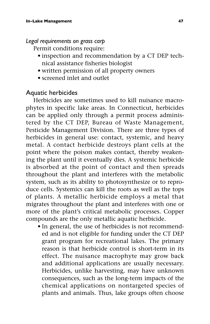#### *Legal requirements on grass carp*

Permit conditions require:

- inspection and recommendation by a CT DEP technical assistance fisheries biologist
- written permission of all property owners
- screened inlet and outlet

# Aquatic herbicides

Herbicides are sometimes used to kill nuisance macrophytes in specific lake areas. In Connecticut, herbicides can be applied only through a permit process administered by the CT DEP, Bureau of Waste Management, Pesticide Management Division. There are three types of herbicides in general use: contact, systemic, and heavy metal. A contact herbicide destroys plant cells at the point where the poison makes contact, thereby weakening the plant until it eventually dies. A systemic herbicide is absorbed at the point of contact and then spreads throughout the plant and interferes with the metabolic system, such as its ability to photosynthesize or to reproduce cells. Systemics can kill the roots as well as the tops of plants. A metallic herbicide employs a metal that migrates throughout the plant and interferes with one or more of the plant's critical metabolic processes. Copper compounds are the only metallic aquatic herbicide.

• In general, the use of herbicides is not recommended and is not eligible for funding under the CT DEP grant program for recreational lakes. The primary reason is that herbicide control is short-term in its effect. The nuisance macrophyte may grow back and additional applications are usually necessary. Herbicides, unlike harvesting, may have unknown consequences, such as the long-term impacts of the chemical applications on nontargeted species of plants and animals. Thus, lake groups often choose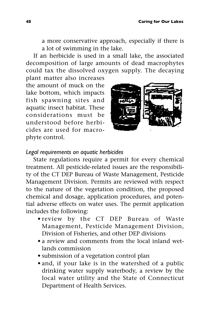a more conservative approach, especially if there is a lot of swimming in the lake.

If an herbicide is used in a small lake, the associated decomposition of large amounts of dead macrophytes could tax the dissolved oxygen supply. The decaying plant matter also increases

the amount of muck on the lake bottom, which impacts fish spawning sites and aquatic insect habitat. These considerations must be understood before herbicides are used for macrophyte control.



#### *Legal requirements on aquatic herbicides*

State regulations require a permit for every chemical treatment. All pesticide-related issues are the responsibility of the CT DEP Bureau of Waste Management, Pesticide Management Division. Permits are reviewed with respect to the nature of the vegetation condition, the proposed chemical and dosage, application procedures, and potential adverse effects on water uses. The permit application includes the following:

- review by the CT DEP Bureau of Waste Management, Pesticide Management Division, Division of Fisheries, and other DEP divisions
- a review and comments from the local inland wetlands commission
- submission of a vegetation control plan
- and, if your lake is in the watershed of a public drinking water supply waterbody, a review by the local water utility and the State of Connecticut Department of Health Services.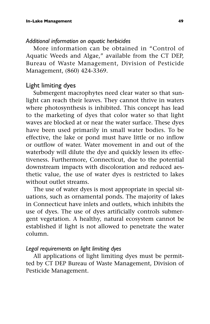#### *Additional information on aquatic herbicides*

More information can be obtained in "Control of Aquatic Weeds and Algae," available from the CT DEP, Bureau of Waste Management, Division of Pesticide Management, (860) 424-3369.

## Light limiting dyes

Submergent macrophytes need clear water so that sunlight can reach their leaves. They cannot thrive in waters where photosynthesis is inhibited. This concept has lead to the marketing of dyes that color water so that light waves are blocked at or near the water surface. These dyes have been used primarily in small water bodies. To be effective, the lake or pond must have little or no inflow or outflow of water. Water movement in and out of the waterbody will dilute the dye and quickly lessen its effectiveness. Furthermore, Connecticut, due to the potential downstream impacts with discoloration and reduced aesthetic value, the use of water dyes is restricted to lakes without outlet streams.

The use of water dyes is most appropriate in special situations, such as ornamental ponds. The majority of lakes in Connecticut have inlets and outlets, which inhibits the use of dyes. The use of dyes artificially controls submergent vegetation. A healthy, natural ecosystem cannot be established if light is not allowed to penetrate the water column.

#### *Legal requirements on light limiting dyes*

All applications of light limiting dyes must be permitted by CT DEP Bureau of Waste Management, Division of Pesticide Management.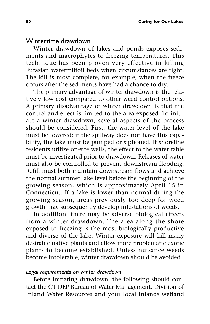## Wintertime drawdown

Winter drawdown of lakes and ponds exposes sediments and macrophytes to freezing temperatures. This technique has been proven very effective in killing Eurasian watermilfoil beds when circumstances are right. The kill is most complete, for example, when the freeze occurs after the sediments have had a chance to dry.

The primary advantage of winter drawdown is the relatively low cost compared to other weed control options. A primary disadvantage of winter drawdown is that the control and effect is limited to the area exposed. To initiate a winter drawdown, several aspects of the process should be considered. First, the water level of the lake must be lowered; if the spillway does not have this capability, the lake must be pumped or siphoned. If shoreline residents utilize on-site wells, the effect to the water table must be investigated prior to drawdown. Releases of water must also be controlled to prevent downstream flooding. Refill must both maintain downstream flows and achieve the normal summer lake level before the beginning of the growing season, which is approximately April 15 in Connecticut. If a lake is lower than normal during the growing season, areas previously too deep for weed growth may subsequently develop infestations of weeds.

In addition, there may be adverse biological effects from a winter drawdown. The area along the shore exposed to freezing is the most biologically productive and diverse of the lake. Winter exposure will kill many desirable native plants and allow more problematic exotic plants to become established. Unless nuisance weeds become intolerable, winter drawdown should be avoided.

#### *Legal requirements on winter drawdown*

Before initiating drawdown, the following should contact the CT DEP Bureau of Water Management, Division of Inland Water Resources and your local inlands wetland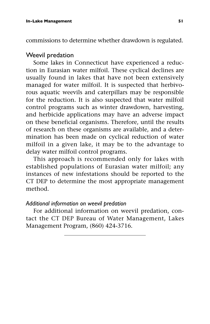commissions to determine whether drawdown is regulated.

## Weevil predation

Some lakes in Connecticut have experienced a reduction in Eurasian water milfoil. These cyclical declines are usually found in lakes that have not been extensively managed for water milfoil. It is suspected that herbivorous aquatic weevils and caterpillars may be responsible for the reduction. It is also suspected that water milfoil control programs such as winter drawdown, harvesting, and herbicide applications may have an adverse impact on these beneficial organisms. Therefore, until the results of research on these organisms are available, and a determination has been made on cyclical reduction of water milfoil in a given lake, it may be to the advantage to delay water milfoil control programs.

This approach is recommended only for lakes with established populations of Eurasian water milfoil; any instances of new infestations should be reported to the CT DEP to determine the most appropriate management method.

#### *Additional information on weevil predation*

For additional information on weevil predation, contact the CT DEP Bureau of Water Management, Lakes Management Program, (860) 424-3716.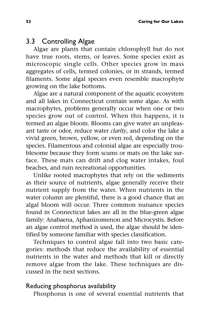## 3.3 Controlling Algae

Algae are plants that contain chlorophyll but do not have true roots, stems, or leaves. Some species exist as microscopic single cells. Other species grow in mass aggregates of cells, termed colonies, or in strands, termed filaments. Some algal species even resemble macrophyte growing on the lake bottoms.

Algae are a natural component of the aquatic ecosystem and all lakes in Connecticut contain some algae. As with macrophytes, problems generally occur when one or two species grow out of control. When this happens, it is termed an algae bloom. Blooms can give water an unpleasant taste or odor, reduce water *clarity*, and color the lake a vivid green, brown, yellow, or even red, depending on the species. Filamentous and colonial algae are especially troublesome because they form scums or mats on the lake surface. These mats can drift and clog water intakes, foul beaches, and ruin recreational opportunities.

Unlike rooted macrophytes that rely on the sediments as their source of nutrients, algae generally receive their nutrient supply from the water. When nutrients in the water column are plentiful, there is a good chance that an algal bloom will occur. Three common nuisance species found in Connecticut lakes are all in the blue-green algae family: Anabaena, Aphanizomenon and Microcystis. Before an algae control method is used, the algae should be identified by someone familiar with species classification.

Techniques to control algae fall into two basic categories: methods that reduce the availability of essential nutrients in the water and methods that kill or directly remove algae from the lake. These techniques are discussed in the next sections.

## Reducing phosphorus availability

Phosphorus is one of several essential nutrients that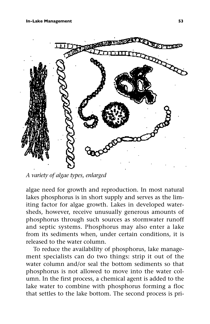

*A variety of algae types, enlarged*

algae need for growth and reproduction. In most natural lakes phosphorus is in short supply and serves as the limiting factor for algae growth. Lakes in developed watersheds, however, receive unusually generous amounts of phosphorus through such sources as stormwater runoff and septic systems. Phosphorus may also enter a lake from its sediments when, under certain conditions, it is released to the water column.

To reduce the availability of phosphorus, lake management specialists can do two things: strip it out of the water column and/or seal the bottom sediments so that phosphorus is not allowed to move into the water column. In the first process, a chemical agent is added to the lake water to combine with phosphorus forming a floc that settles to the lake bottom. The second process is pri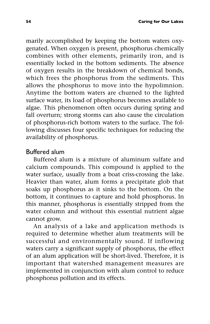marily accomplished by keeping the bottom waters oxygenated. When oxygen is present, phosphorus chemically combines with other elements, primarily iron, and is essentially locked in the bottom sediments. The absence of oxygen results in the breakdown of chemical bonds, which frees the phosphorus from the sediments. This allows the phosphorus to move into the hypolimnion. Anytime the bottom waters are churned to the lighted surface water, its load of phosphorus becomes available to algae. This phenomenon often occurs during spring and fall overturn; strong storms can also cause the circulation of phosphorus-rich bottom waters to the surface. The following discusses four specific techniques for reducing the availability of phosphorus.

## Buffered alum

Buffered alum is a mixture of aluminum sulfate and calcium compounds. This compound is applied to the water surface, usually from a boat criss-crossing the lake. Heavier than water, alum forms a precipitate glob that soaks up phosphorus as it sinks to the bottom. On the bottom, it continues to capture and hold phosphorus. In this manner, phosphorus is essentially stripped from the water column and without this essential nutrient algae cannot grow.

An analysis of a lake and application methods is required to determine whether alum treatments will be successful and environmentally sound. If inflowing waters carry a significant supply of phosphorus, the effect of an alum application will be short-lived. Therefore, it is important that watershed management measures are implemented in conjunction with alum control to reduce phosphorus pollution and its effects.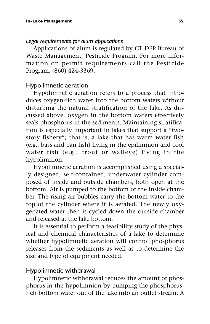#### *Legal requirements for alum applications*

Applications of alum is regulated by CT DEP Bureau of Waste Management, Pesticide Program. For more information on permit requirements call the Pesticide Program, (860) 424-3369.

## Hypolimnetic aeration

Hypolimnetic aeration refers to a process that introduces oxygen-rich water into the bottom waters without disturbing the natural stratification of the lake. As discussed above, oxygen in the bottom waters effectively seals phosphorus in the sediments. Maintaining stratification is especially important in lakes that support a "twostory fishery"; that is, a lake that has warm water fish (e.g., bass and pan fish) living in the epilimnion and cool water fish (e.g., trout or walleye) living in the hypolimnion.

Hypolimnetic aeration is accomplished using a specially designed, self-contained, underwater cylinder composed of inside and outside chambers, both open at the bottom. Air is pumped to the bottom of the inside chamber. The rising air bubbles carry the bottom water to the top of the cylinder where it is aerated. The newly oxygenated water then is cycled down the outside chamber and released at the lake bottom.

It is essential to perform a feasibility study of the physical and chemical characteristics of a lake to determine whether hypolimnetic aeration will control phosphorus releases from the sediments as well as to determine the size and type of equipment needed.

## Hypolimnetic withdrawal

Hypolimnetic withdrawal reduces the amount of phosphorus in the hypolimnion by pumping the phosphorusrich bottom water out of the lake into an outlet stream. A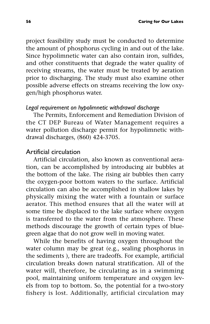project feasibility study must be conducted to determine the amount of phosphorus cycling in and out of the lake. Since hypolimnetic water can also contain iron, sulfides, and other constituents that degrade the water quality of receiving streams, the water must be treated by aeration prior to discharging. The study must also examine other possible adverse effects on streams receiving the low oxygen/high phosphorus water.

#### *Legal requirement on hypolimnetic withdrawal discharge*

The Permits, Enforcement and Remediation Division of the CT DEP Bureau of Water Management requires a water pollution discharge permit for hypolimnetic withdrawal discharges, (860) 424-3705.

### Artificial circulation

Artificial circulation, also known as conventional aeration, can be accomplished by introducing air bubbles at the bottom of the lake. The rising air bubbles then carry the oxygen-poor bottom waters to the surface. Artificial circulation can also be accomplished in shallow lakes by physically mixing the water with a fountain or surface aerator. This method ensures that all the water will at some time be displaced to the lake surface where oxygen is transferred to the water from the atmosphere. These methods discourage the growth of certain types of bluegreen algae that do not grow well in moving water.

While the benefits of having oxygen throughout the water column may be great (e.g., sealing phosphorus in the sediments ), there are tradeoffs. For example, artificial circulation breaks down natural stratification. All of the water will, therefore, be circulating as in a swimming pool, maintaining uniform temperature and oxygen levels from top to bottom. So, the potential for a two-story fishery is lost. Additionally, artificial circulation may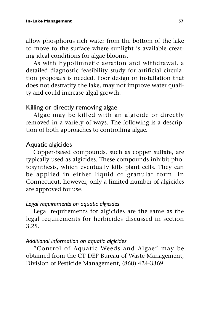allow phosphorus rich water from the bottom of the lake to move to the surface where sunlight is available creating ideal conditions for algae blooms.

As with hypolimnetic aeration and withdrawal, a detailed diagnostic feasibility study for artificial circulation proposals is needed. Poor design or installation that does not destratify the lake, may not improve water quality and could increase algal growth.

## Killing or directly removing algae

Algae may be killed with an algicide or directly removed in a variety of ways. The following is a description of both approaches to controlling algae.

## Aquatic algicides

Copper-based compounds, such as copper sulfate, are typically used as algicides. These compounds inhibit photosynthesis, which eventually kills plant cells. They can be applied in either liquid or granular form. In Connecticut, however, only a limited number of algicides are approved for use.

## *Legal requirements on aquatic algicides*

Legal requirements for algicides are the same as the legal requirements for herbicides discussed in section 3.25.

## *Additional information on aquatic algicides*

"Control of Aquatic Weeds and Algae" may be obtained from the CT DEP Bureau of Waste Management, Division of Pesticide Management, (860) 424-3369.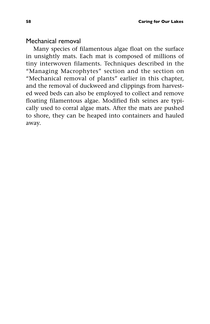#### Mechanical removal

Many species of filamentous algae float on the surface in unsightly mats. Each mat is composed of millions of tiny interwoven filaments. Techniques described in the "Managing Macrophytes" section and the section on "Mechanical removal of plants" earlier in this chapter, and the removal of duckweed and clippings from harvested weed beds can also be employed to collect and remove floating filamentous algae. Modified fish seines are typically used to corral algae mats. After the mats are pushed to shore, they can be heaped into containers and hauled away.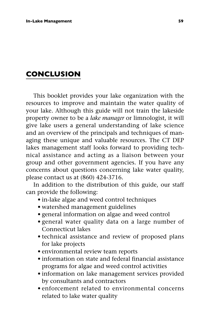# **CONCLUSION**

This booklet provides your lake organization with the resources to improve and maintain the water quality of your lake. Although this guide will not train the lakeside property owner to be a *lake manager* or limnologist, it will give lake users a general understanding of lake science and an overview of the principals and techniques of managing these unique and valuable resources. The CT DEP lakes management staff looks forward to providing technical assistance and acting as a liaison between your group and other government agencies. If you have any concerns about questions concerning lake water quality, please contact us at (860) 424-3716.

In addition to the distribution of this guide, our staff can provide the following:

- in-lake algae and weed control techniques
- watershed management guidelines
- general information on algae and weed control
- general water quality data on a large number of Connecticut lakes
- technical assistance and review of proposed plans for lake projects
- environmental review team reports
- information on state and federal financial assistance programs for algae and weed control activities
- information on lake management services provided by consultants and contractors
- enforcement related to environmental concerns related to lake water quality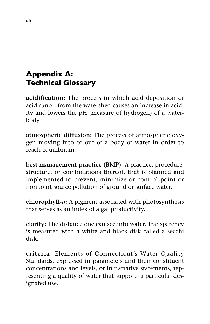# **Appendix A: Technical Glossary**

**acidification:** The process in which acid deposition or acid runoff from the watershed causes an increase in acidity and lowers the pH (measure of hydrogen) of a waterbody.

**atmospheric diffusion:** The process of atmospheric oxygen moving into or out of a body of water in order to reach equilibrium.

**best management practice (BMP):** A practice, procedure, structure, or combinations thereof, that is planned and implemented to prevent, minimize or control point or nonpoint source pollution of ground or surface water.

**chlorophyll-***a***:** A pigment associated with photosynthesis that serves as an index of algal productivity.

**clarity:** The distance one can see into water. Transparency is measured with a white and black disk called a secchi disk.

**criteria:** Elements of Connecticut's Water Quality Standards, expressed in parameters and their constituent concentrations and levels, or in narrative statements, representing a quality of water that supports a particular designated use.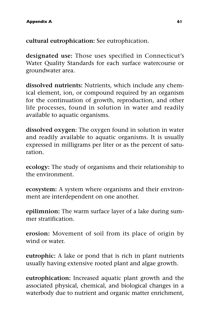**cultural eutrophication:** See eutrophication.

**designated use:** Those uses specified in Connecticut's Water Quality Standards for each surface watercourse or groundwater area.

**dissolved nutrients:** Nutrients, which include any chemical element, ion, or compound required by an organism for the continuation of growth, reproduction, and other life processes, found in solution in water and readily available to aquatic organisms.

**dissolved oxygen**: The oxygen found in solution in water and readily available to aquatic organisms. It is usually expressed in milligrams per liter or as the percent of saturation.

**ecology:** The study of organisms and their relationship to the environment.

**ecosystem:** A system where organisms and their environment are interdependent on one another.

**epilimnion:** The warm surface layer of a lake during summer stratification.

**erosion:** Movement of soil from its place of origin by wind or water.

**eutrophic:** A lake or pond that is rich in plant nutrients usually having extensive rooted plant and algae growth.

**eutrophication:** Increased aquatic plant growth and the associated physical, chemical, and biological changes in a waterbody due to nutrient and organic matter enrichment,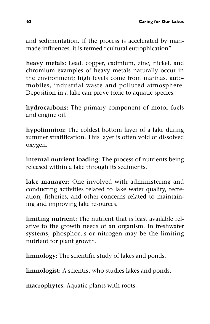and sedimentation. If the process is accelerated by manmade influences, it is termed "cultural eutrophication".

**heavy metals**: Lead, copper, cadmium, zinc, nickel, and chromium examples of heavy metals naturally occur in the environment; high levels come from marinas, automobiles, industrial waste and polluted atmosphere. Deposition in a lake can prove toxic to aquatic species.

**hydrocarbons:** The primary component of motor fuels and engine oil.

**hypolimnion:** The coldest bottom layer of a lake during summer stratification. This layer is often void of dissolved oxygen.

**internal nutrient loading:** The process of nutrients being released within a lake through its sediments.

**lake manager:** One involved with administering and conducting activities related to lake water quality, recreation, fisheries, and other concerns related to maintaining and improving lake resources.

**limiting nutrient:** The nutrient that is least available relative to the growth needs of an organism. In freshwater systems, phosphorus or nitrogen may be the limiting nutrient for plant growth.

**limnology:** The scientific study of lakes and ponds.

**limnologist:** A scientist who studies lakes and ponds.

**macrophytes:** Aquatic plants with roots.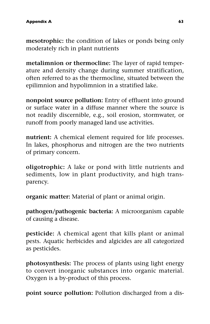**mesotrophic:** the condition of lakes or ponds being only moderately rich in plant nutrients

**metalimnion or thermocline:** The layer of rapid temperature and density change during summer stratification, often referred to as the thermocline, situated between the epilimnion and hypolimnion in a stratified lake.

**nonpoint source pollution:** Entry of effluent into ground or surface water in a diffuse manner where the source is not readily discernible, e.g., soil erosion, stormwater, or runoff from poorly managed land use activities.

**nutrient:** A chemical element required for life processes. In lakes, phosphorus and nitrogen are the two nutrients of primary concern.

**oligotrophic:** A lake or pond with little nutrients and sediments, low in plant productivity, and high transparency.

**organic matter:** Material of plant or animal origin.

**pathogen/pathogenic bacteria:** A microorganism capable of causing a disease.

**pesticide:** A chemical agent that kills plant or animal pests. Aquatic herbicides and algicides are all categorized as pesticides.

**photosynthesis:** The process of plants using light energy to convert inorganic substances into organic material. Oxygen is a by-product of this process.

**point source pollution:** Pollution discharged from a dis-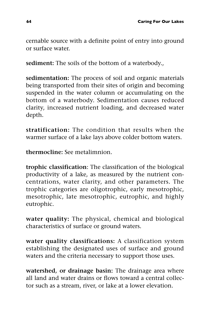cernable source with a definite point of entry into ground or surface water.

**sediment:** The soils of the bottom of a waterbody.,

**sedimentation:** The process of soil and organic materials being transported from their sites of origin and becoming suspended in the water column or accumulating on the bottom of a waterbody. Sedimentation causes reduced clarity, increased nutrient loading, and decreased water depth.

**stratification:** The condition that results when the warmer surface of a lake lays above colder bottom waters.

**thermocline:** See metalimnion.

**trophic classification**: The classification of the biological productivity of a lake, as measured by the nutrient concentrations, water clarity, and other parameters. The trophic categories are oligotrophic, early mesotrophic, mesotrophic, late mesotrophic, eutrophic, and highly eutrophic.

**water quality:** The physical, chemical and biological characteristics of surface or ground waters.

**water quality classifications:** A classification system establishing the designated uses of surface and ground waters and the criteria necessary to support those uses.

**watershed, or drainage basin:** The drainage area where all land and water drains or flows toward a central collector such as a stream, river, or lake at a lower elevation.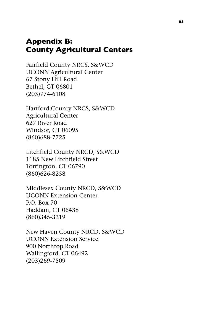## **Appendix B: County Agricultural Centers**

Fairfield County NRCS, S&WCD UCONN Agricultural Center 67 Stony Hill Road Bethel, CT 06801 (203)774-6108

Hartford County NRCS, S&WCD Agricultural Center 627 River Road Windsor, CT 06095 (860)688-7725

Litchfield County NRCD, S&WCD 1185 New Litchfield Street Torrington, CT 06790 (860)626-8258

Middlesex County NRCD, S&WCD UCONN Extension Center P.O. Box 70 Haddam, CT 06438 (860)345-3219

New Haven County NRCD, S&WCD UCONN Extension Service 900 Northrop Road Wallingford, CT 06492 (203)269-7509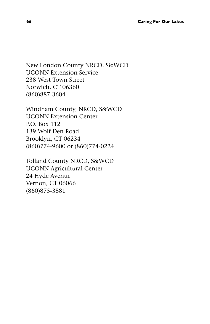New London County NRCD, S&WCD UCONN Extension Service 238 West Town Street Norwich, CT 06360 (860)887-3604

Windham County, NRCD, S&WCD UCONN Extension Center P.O. Box 112 139 Wolf Den Road Brooklyn, CT 06234 (860)774-9600 or (860)774-0224

Tolland County NRCD, S&WCD UCONN Agricultural Center 24 Hyde Avenue Vernon, CT 06066 (860)875-3881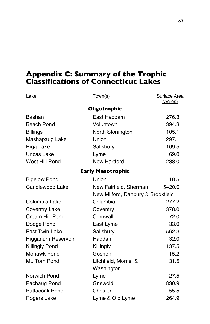## **Appendix C: Summary of the Trophic Classifications of Connecticut Lakes**

| Lake                   | Town(s)                           | Surface Area<br>(Acres) |
|------------------------|-----------------------------------|-------------------------|
|                        | Oligotrophic                      |                         |
| Bashan                 | East Haddam                       | 276.3                   |
| Beach Pond             | Voluntown                         | 394.3                   |
| <b>Billings</b>        | North Stonington                  | 105.1                   |
| Mashapaug Lake         | Union                             | 297.1                   |
| Riga Lake              | Salisbury                         | 169.5                   |
| <b>Uncas Lake</b>      | Lyme                              | 69.0                    |
| West Hill Pond         | <b>New Hartford</b>               | 238.0                   |
|                        | <b>Early Mesotrophic</b>          |                         |
| <b>Bigelow Pond</b>    | Union                             | 18.5                    |
| <b>Candlewood Lake</b> | New Fairfield, Sherman,           | 5420.0                  |
|                        | New Milford, Danbury & Brookfield |                         |
| Columbia Lake          | Columbia                          | 277.2                   |
| <b>Coventry Lake</b>   | Coventry                          | 378.0                   |
| Cream Hill Pond        | Cornwall                          | 72.0                    |
| Dodge Pond             | East Lyme                         | 33.0                    |
| <b>East Twin Lake</b>  | Salisbury                         | 562.3                   |
| Higganum Reservoir     | Haddam                            | 32.0                    |
| <b>Killingly Pond</b>  | Killingly                         | 137.5                   |
| <b>Mohawk Pond</b>     | Goshen                            | 15.2                    |
| Mt. Tom Pond           | Litchfield, Morris, &             | 31.5                    |
|                        | Washington                        |                         |
| Norwich Pond           | Lyme                              | 27.5                    |
| Pachaug Pond           | Griswold                          | 830.9                   |
| <b>Pattaconk Pond</b>  | Chester                           | 55.5                    |
| Rogers Lake            | Lyme & Old Lyme                   | 264.9                   |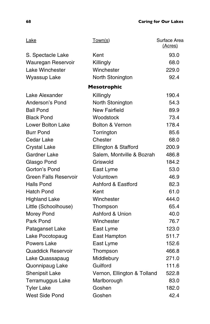| Lake                         | Town(s)                       | Surface Area<br>(Acres) |
|------------------------------|-------------------------------|-------------------------|
| S. Spectacle Lake            | Kent                          | 93.0                    |
| Wauregan Reservoir           | Killingly                     | 68.0                    |
| Lake Winchester              | Winchester                    | 229.0                   |
| Wyassup Lake                 | North Stonington              | 92.4                    |
|                              | <b>Mesotrophic</b>            |                         |
| Lake Alexander               | Killingly                     | 190.4                   |
| Anderson's Pond              | North Stonington              | 54.3                    |
| <b>Ball Pond</b>             | New Fairfield                 | 89.9                    |
| <b>Black Pond</b>            | Woodstock                     | 73.4                    |
| Lower Bolton Lake            | Bolton & Vernon               | 178.4                   |
| <b>Burr Pond</b>             | Torrington                    | 85.6                    |
| Cedar Lake                   | Chester                       | 68.0                    |
| <b>Crystal Lake</b>          | Ellington & Stafford          | 200.9                   |
| Gardner Lake                 | Salem, Montville & Bozrah     | 486.8                   |
| Glasgo Pond                  | Griswold                      | 184.2                   |
| Gorton's Pond                | East Lyme                     | 53.0                    |
| <b>Green Falls Reservoir</b> | Voluntown                     | 46.9                    |
| <b>Halls Pond</b>            | <b>Ashford &amp; Eastford</b> | 82.3                    |
| Hatch Pond                   | Kent                          | 61.0                    |
| <b>Highland Lake</b>         | Winchester                    | 444.0                   |
| Little (Schoolhouse)         | Thompson                      | 65.4                    |
| Morey Pond                   | Ashford & Union               | 40.0                    |
| Park Pond                    | Winchester                    | 76.7                    |
| Pataganset Lake              | East Lyme                     | 123.0                   |
| Lake Pocotopaug              | East Hampton                  | 511.7                   |
| Powers Lake                  | East Lyme                     | 152.6                   |
| Quaddick Reservoir           | Thompson                      | 466.8                   |
| Lake Quassapaug              | Middlebury                    | 271.0                   |
| Quonnipaug Lake              | Guilford                      | 111.6                   |
| Shenipsit Lake               | Vernon, Ellington & Tolland   | 522.8                   |
| Terramuggus Lake             | Marlborough                   | 83.0                    |
| <b>Tyler Lake</b>            | Goshen                        | 182.0                   |
| West Side Pond               | Goshen                        | 42.4                    |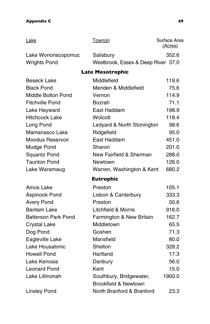## **Appendix C** 69

| Lake                       | Town(s)                            | Surface Area<br>(Acres) |
|----------------------------|------------------------------------|-------------------------|
| Lake Wononscopomuc         | Salisbury                          | 352.6                   |
| <b>Wrights Pond</b>        | Westbrook, Essex & Deep River 37.0 |                         |
|                            | <b>Late Mesotrophic</b>            |                         |
| <b>Beseck Lake</b>         | Middlefield                        | 119.6                   |
| <b>Black Pond</b>          | Meriden & Middlefield              | 75.6                    |
| <b>Middle Bolton Pond</b>  | Vernon                             | 114.9                   |
| <b>Fitchville Pond</b>     | Bozrah                             | 71.1                    |
| Lake Hayward               | East Haddam                        | 198.9                   |
| <b>Hitchcock Lake</b>      | Wolcott                            | 118.4                   |
| Long Pond                  | Ledyard & North Stonington         | 98.6                    |
| Mamanasco Lake             | Ridgefield                         | 95.0                    |
| Moodus Reservoir           | East Haddam                        | 451.0                   |
| Mudge Pond                 | Sharon                             | 201.0                   |
| <b>Squantz Pond</b>        | New Fairfield & Sherman            | 288.0                   |
| <b>Taunton Pond</b>        | Newtown                            | 126.0                   |
| Lake Waramaug              | Warren, Washington & Kent          | 680.2                   |
|                            | <b>Eutrophic</b>                   |                         |
| Amos Lake                  | Preston                            | 105.1                   |
| Aspinook Pond              | Lisbon & Canterbury                | 333.3                   |
| <b>Avery Pond</b>          | Preston                            | 50.6                    |
| <b>Bantam Lake</b>         | Litchfield & Morris                | 916.0                   |
| <b>Batterson Park Pond</b> | Farmington & New Britain           | 162.7                   |
| <b>Crystal Lake</b>        | Middletown                         | 65.5                    |
| Dog Pond                   | Goshen                             | 71.3                    |
| Eagleville Lake            | Mansfield                          | 80.0                    |
| Lake Housatonic            | Shelton                            | 328.2                   |
| <b>Howell Pond</b>         | Hartland                           | 17.3                    |
| Lake Kenosia               | Danbury                            | 56.0                    |
| Leonard Pond               | Kent                               | 15.0                    |
| Lake Lillinonah            | Southbury, Bridgewater,            | 1900.0                  |
|                            | <b>Brookfield &amp; Newtown</b>    |                         |
| <b>Linsley Pond</b>        | North Branford & Branford          | 23.3                    |